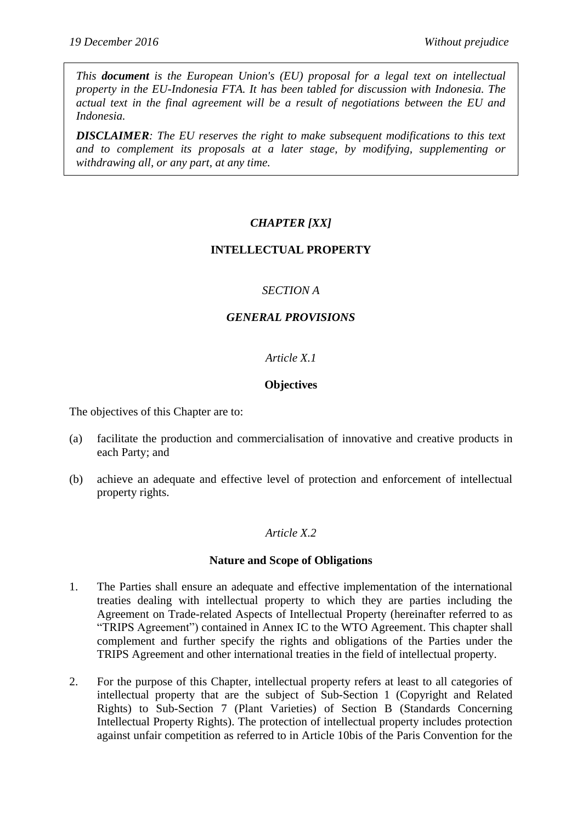*This document is the European Union's (EU) proposal for a legal text on intellectual property in the EU-Indonesia FTA. It has been tabled for discussion with Indonesia. The actual text in the final agreement will be a result of negotiations between the EU and Indonesia.*

*DISCLAIMER: The EU reserves the right to make subsequent modifications to this text and to complement its proposals at a later stage, by modifying, supplementing or withdrawing all, or any part, at any time.*

# *CHAPTER [XX]*

# **INTELLECTUAL PROPERTY**

## *SECTION A*

# *GENERAL PROVISIONS*

# *Article X.1*

### **Objectives**

The objectives of this Chapter are to:

- (a) facilitate the production and commercialisation of innovative and creative products in each Party; and
- (b) achieve an adequate and effective level of protection and enforcement of intellectual property rights.

## *Article X.2*

### **Nature and Scope of Obligations**

- 1. The Parties shall ensure an adequate and effective implementation of the international treaties dealing with intellectual property to which they are parties including the Agreement on Trade-related Aspects of Intellectual Property (hereinafter referred to as "TRIPS Agreement") contained in Annex IC to the WTO Agreement. This chapter shall complement and further specify the rights and obligations of the Parties under the TRIPS Agreement and other international treaties in the field of intellectual property.
- 2. For the purpose of this Chapter, intellectual property refers at least to all categories of intellectual property that are the subject of Sub-Section 1 (Copyright and Related Rights) to Sub-Section 7 (Plant Varieties) of Section B (Standards Concerning Intellectual Property Rights). The protection of intellectual property includes protection against unfair competition as referred to in Article 10bis of the Paris Convention for the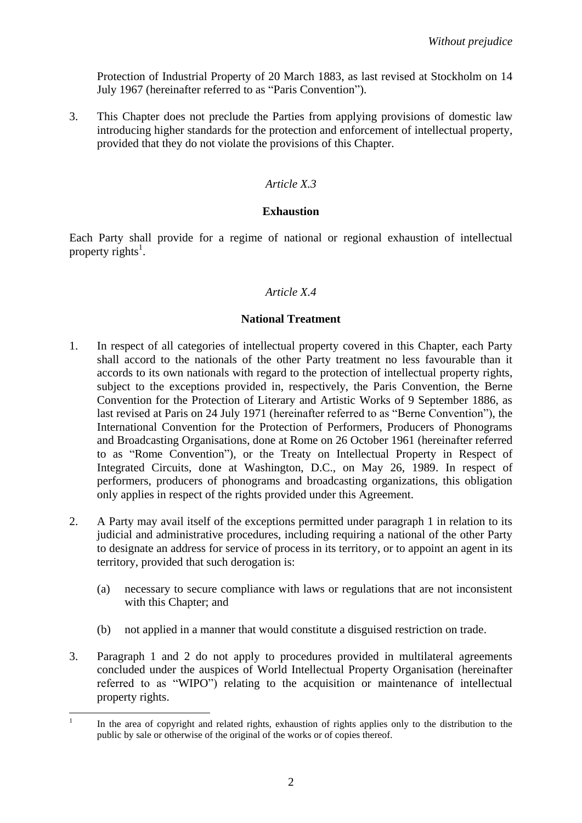Protection of Industrial Property of 20 March 1883, as last revised at Stockholm on 14 July 1967 (hereinafter referred to as "Paris Convention").

3. This Chapter does not preclude the Parties from applying provisions of domestic law introducing higher standards for the protection and enforcement of intellectual property, provided that they do not violate the provisions of this Chapter.

# *Article X.3*

## **Exhaustion**

Each Party shall provide for a regime of national or regional exhaustion of intellectual property rights<sup>1</sup>.

## *Article X.4*

### **National Treatment**

- 1. In respect of all categories of intellectual property covered in this Chapter, each Party shall accord to the nationals of the other Party treatment no less favourable than it accords to its own nationals with regard to the protection of intellectual property rights, subject to the exceptions provided in, respectively, the Paris Convention, the Berne Convention for the Protection of Literary and Artistic Works of 9 September 1886, as last revised at Paris on 24 July 1971 (hereinafter referred to as "Berne Convention"), the International Convention for the Protection of Performers, Producers of Phonograms and Broadcasting Organisations, done at Rome on 26 October 1961 (hereinafter referred to as "Rome Convention"), or the Treaty on Intellectual Property in Respect of Integrated Circuits, done at Washington, D.C., on May 26, 1989. In respect of performers, producers of phonograms and broadcasting organizations, this obligation only applies in respect of the rights provided under this Agreement.
- 2. A Party may avail itself of the exceptions permitted under paragraph 1 in relation to its judicial and administrative procedures, including requiring a national of the other Party to designate an address for service of process in its territory, or to appoint an agent in its territory, provided that such derogation is:
	- (a) necessary to secure compliance with laws or regulations that are not inconsistent with this Chapter; and
	- (b) not applied in a manner that would constitute a disguised restriction on trade.
- 3. Paragraph 1 and 2 do not apply to procedures provided in multilateral agreements concluded under the auspices of World Intellectual Property Organisation (hereinafter referred to as "WIPO") relating to the acquisition or maintenance of intellectual property rights.

 $\frac{1}{1}$ In the area of copyright and related rights, exhaustion of rights applies only to the distribution to the public by sale or otherwise of the original of the works or of copies thereof.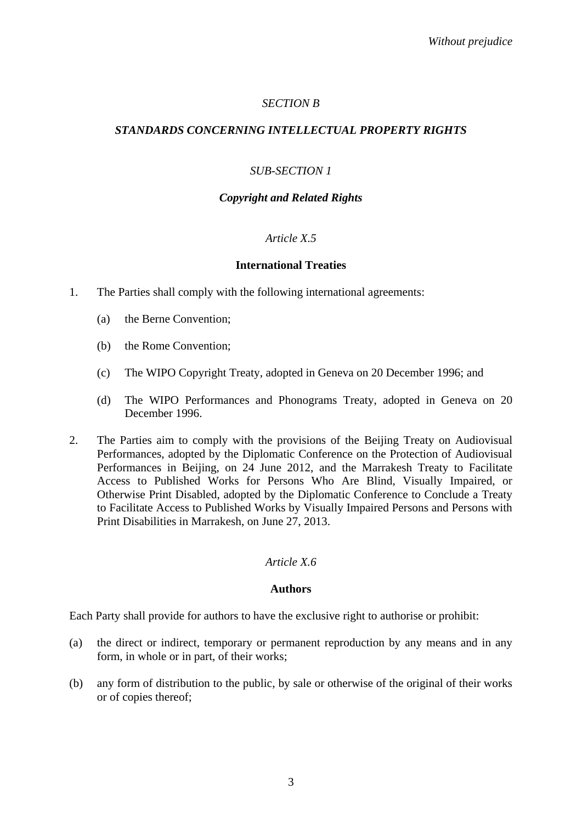### *SECTION B*

### *STANDARDS CONCERNING INTELLECTUAL PROPERTY RIGHTS*

## *SUB-SECTION 1*

### *Copyright and Related Rights*

### *Article X.5*

### **International Treaties**

- 1. The Parties shall comply with the following international agreements:
	- (a) the Berne Convention;
	- (b) the Rome Convention;
	- (c) The WIPO Copyright Treaty, adopted in Geneva on 20 December 1996; and
	- (d) The WIPO Performances and Phonograms Treaty, adopted in Geneva on 20 December 1996.
- 2. The Parties aim to comply with the provisions of the Beijing Treaty on Audiovisual Performances, adopted by the Diplomatic Conference on the Protection of Audiovisual Performances in Beijing, on 24 June 2012, and the Marrakesh Treaty to Facilitate Access to Published Works for Persons Who Are Blind, Visually Impaired, or Otherwise Print Disabled, adopted by the Diplomatic Conference to Conclude a Treaty to Facilitate Access to Published Works by Visually Impaired Persons and Persons with Print Disabilities in Marrakesh, on June 27, 2013.

### *Article X.6*

#### **Authors**

Each Party shall provide for authors to have the exclusive right to authorise or prohibit:

- (a) the direct or indirect, temporary or permanent reproduction by any means and in any form, in whole or in part, of their works;
- (b) any form of distribution to the public, by sale or otherwise of the original of their works or of copies thereof;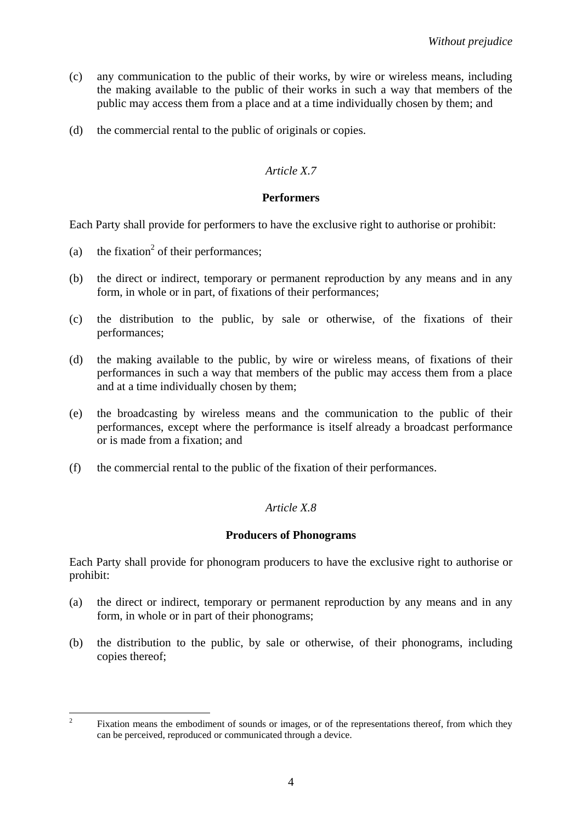- (c) any communication to the public of their works, by wire or wireless means, including the making available to the public of their works in such a way that members of the public may access them from a place and at a time individually chosen by them; and
- (d) the commercial rental to the public of originals or copies.

### **Performers**

Each Party shall provide for performers to have the exclusive right to authorise or prohibit:

- (a) the fixation<sup>2</sup> of their performances;
- (b) the direct or indirect, temporary or permanent reproduction by any means and in any form, in whole or in part, of fixations of their performances;
- (c) the distribution to the public, by sale or otherwise, of the fixations of their performances;
- (d) the making available to the public, by wire or wireless means, of fixations of their performances in such a way that members of the public may access them from a place and at a time individually chosen by them;
- (e) the broadcasting by wireless means and the communication to the public of their performances, except where the performance is itself already a broadcast performance or is made from a fixation; and
- (f) the commercial rental to the public of the fixation of their performances.

## *Article X.8*

## **Producers of Phonograms**

Each Party shall provide for phonogram producers to have the exclusive right to authorise or prohibit:

- (a) the direct or indirect, temporary or permanent reproduction by any means and in any form, in whole or in part of their phonograms;
- (b) the distribution to the public, by sale or otherwise, of their phonograms, including copies thereof;

 $\frac{1}{2}$ Fixation means the embodiment of sounds or images, or of the representations thereof, from which they can be perceived, reproduced or communicated through a device.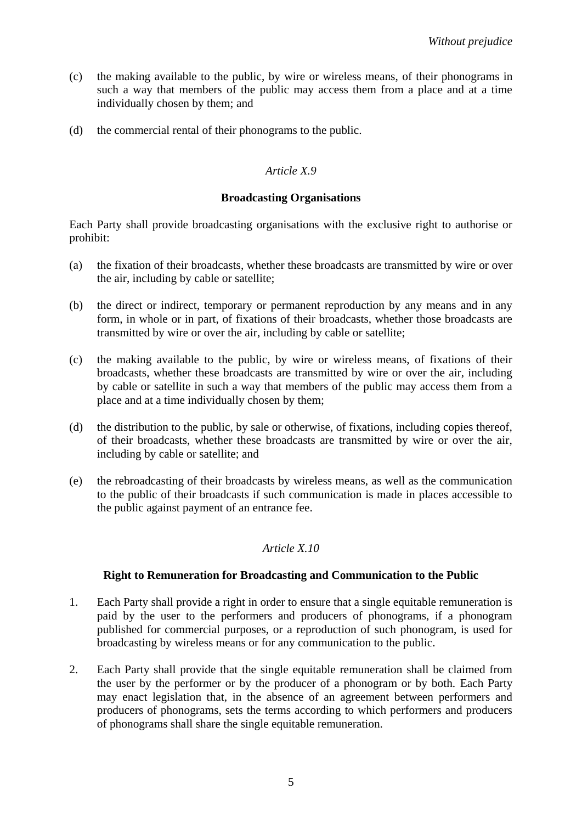- (c) the making available to the public, by wire or wireless means, of their phonograms in such a way that members of the public may access them from a place and at a time individually chosen by them; and
- (d) the commercial rental of their phonograms to the public.

### **Broadcasting Organisations**

Each Party shall provide broadcasting organisations with the exclusive right to authorise or prohibit:

- (a) the fixation of their broadcasts, whether these broadcasts are transmitted by wire or over the air, including by cable or satellite;
- (b) the direct or indirect, temporary or permanent reproduction by any means and in any form, in whole or in part, of fixations of their broadcasts, whether those broadcasts are transmitted by wire or over the air, including by cable or satellite;
- (c) the making available to the public, by wire or wireless means, of fixations of their broadcasts, whether these broadcasts are transmitted by wire or over the air, including by cable or satellite in such a way that members of the public may access them from a place and at a time individually chosen by them;
- (d) the distribution to the public, by sale or otherwise, of fixations, including copies thereof, of their broadcasts, whether these broadcasts are transmitted by wire or over the air, including by cable or satellite; and
- (e) the rebroadcasting of their broadcasts by wireless means, as well as the communication to the public of their broadcasts if such communication is made in places accessible to the public against payment of an entrance fee.

## *Article X.10*

## **Right to Remuneration for Broadcasting and Communication to the Public**

- 1. Each Party shall provide a right in order to ensure that a single equitable remuneration is paid by the user to the performers and producers of phonograms, if a phonogram published for commercial purposes, or a reproduction of such phonogram, is used for broadcasting by wireless means or for any communication to the public.
- 2. Each Party shall provide that the single equitable remuneration shall be claimed from the user by the performer or by the producer of a phonogram or by both. Each Party may enact legislation that, in the absence of an agreement between performers and producers of phonograms, sets the terms according to which performers and producers of phonograms shall share the single equitable remuneration.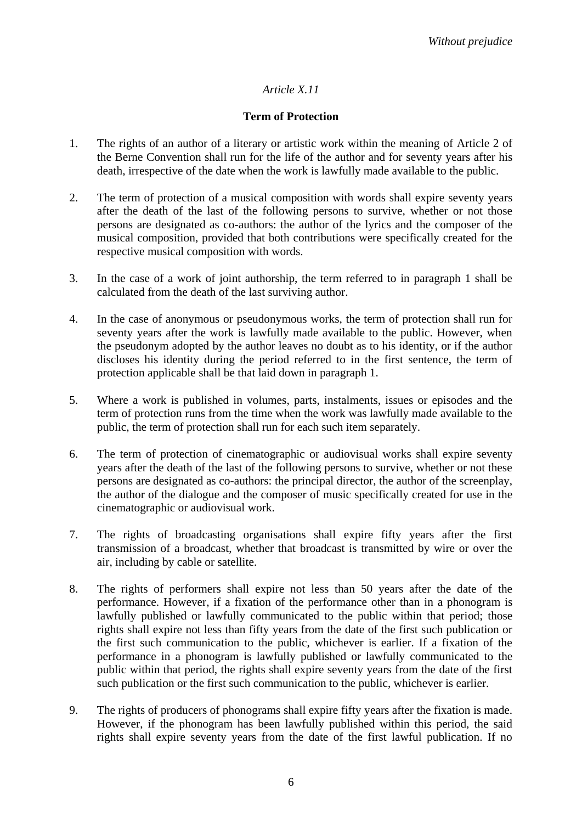# **Term of Protection**

- 1. The rights of an author of a literary or artistic work within the meaning of Article 2 of the Berne Convention shall run for the life of the author and for seventy years after his death, irrespective of the date when the work is lawfully made available to the public.
- 2. The term of protection of a musical composition with words shall expire seventy years after the death of the last of the following persons to survive, whether or not those persons are designated as co-authors: the author of the lyrics and the composer of the musical composition, provided that both contributions were specifically created for the respective musical composition with words.
- 3. In the case of a work of joint authorship, the term referred to in paragraph 1 shall be calculated from the death of the last surviving author.
- 4. In the case of anonymous or pseudonymous works, the term of protection shall run for seventy years after the work is lawfully made available to the public. However, when the pseudonym adopted by the author leaves no doubt as to his identity, or if the author discloses his identity during the period referred to in the first sentence, the term of protection applicable shall be that laid down in paragraph 1.
- 5. Where a work is published in volumes, parts, instalments, issues or episodes and the term of protection runs from the time when the work was lawfully made available to the public, the term of protection shall run for each such item separately.
- 6. The term of protection of cinematographic or audiovisual works shall expire seventy years after the death of the last of the following persons to survive, whether or not these persons are designated as co-authors: the principal director, the author of the screenplay, the author of the dialogue and the composer of music specifically created for use in the cinematographic or audiovisual work.
- 7. The rights of broadcasting organisations shall expire fifty years after the first transmission of a broadcast, whether that broadcast is transmitted by wire or over the air, including by cable or satellite.
- 8. The rights of performers shall expire not less than 50 years after the date of the performance. However, if a fixation of the performance other than in a phonogram is lawfully published or lawfully communicated to the public within that period; those rights shall expire not less than fifty years from the date of the first such publication or the first such communication to the public, whichever is earlier. If a fixation of the performance in a phonogram is lawfully published or lawfully communicated to the public within that period, the rights shall expire seventy years from the date of the first such publication or the first such communication to the public, whichever is earlier.
- 9. The rights of producers of phonograms shall expire fifty years after the fixation is made. However, if the phonogram has been lawfully published within this period, the said rights shall expire seventy years from the date of the first lawful publication. If no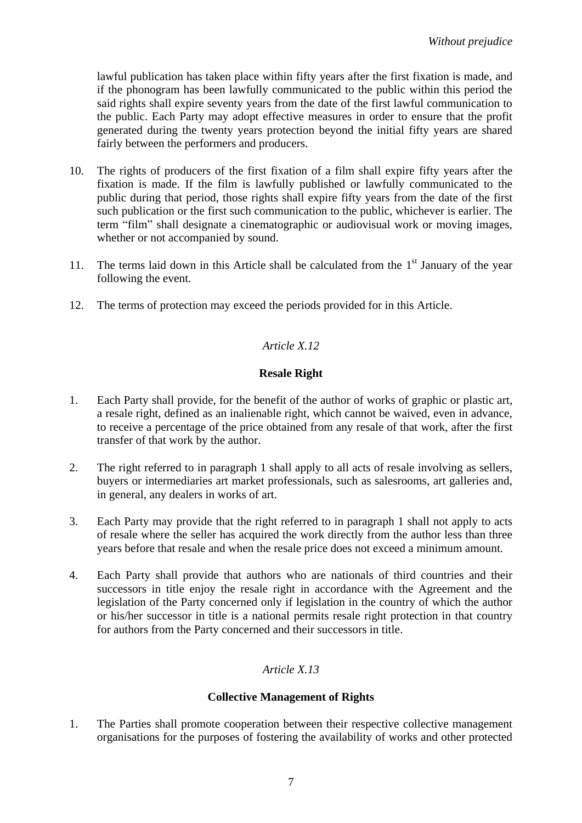lawful publication has taken place within fifty years after the first fixation is made, and if the phonogram has been lawfully communicated to the public within this period the said rights shall expire seventy years from the date of the first lawful communication to the public. Each Party may adopt effective measures in order to ensure that the profit generated during the twenty years protection beyond the initial fifty years are shared fairly between the performers and producers.

- 10. The rights of producers of the first fixation of a film shall expire fifty years after the fixation is made. If the film is lawfully published or lawfully communicated to the public during that period, those rights shall expire fifty years from the date of the first such publication or the first such communication to the public, whichever is earlier. The term "film" shall designate a cinematographic or audiovisual work or moving images, whether or not accompanied by sound.
- 11. The terms laid down in this Article shall be calculated from the  $1<sup>st</sup>$  January of the year following the event.
- 12. The terms of protection may exceed the periods provided for in this Article.

# *Article X.12*

# **Resale Right**

- 1. Each Party shall provide, for the benefit of the author of works of graphic or plastic art, a resale right, defined as an inalienable right, which cannot be waived, even in advance, to receive a percentage of the price obtained from any resale of that work, after the first transfer of that work by the author.
- 2. The right referred to in paragraph 1 shall apply to all acts of resale involving as sellers, buyers or intermediaries art market professionals, such as salesrooms, art galleries and, in general, any dealers in works of art.
- 3. Each Party may provide that the right referred to in paragraph 1 shall not apply to acts of resale where the seller has acquired the work directly from the author less than three years before that resale and when the resale price does not exceed a minimum amount.
- 4. Each Party shall provide that authors who are nationals of third countries and their successors in title enjoy the resale right in accordance with the Agreement and the legislation of the Party concerned only if legislation in the country of which the author or his/her successor in title is a national permits resale right protection in that country for authors from the Party concerned and their successors in title.

# *Article X.13*

# **Collective Management of Rights**

1. The Parties shall promote cooperation between their respective collective management organisations for the purposes of fostering the availability of works and other protected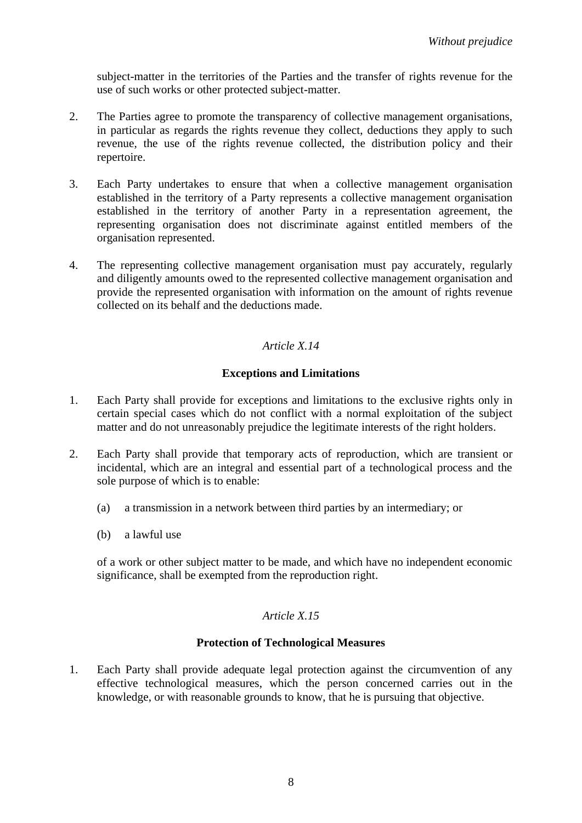subject-matter in the territories of the Parties and the transfer of rights revenue for the use of such works or other protected subject-matter.

- 2. The Parties agree to promote the transparency of collective management organisations, in particular as regards the rights revenue they collect, deductions they apply to such revenue, the use of the rights revenue collected, the distribution policy and their repertoire.
- 3. Each Party undertakes to ensure that when a collective management organisation established in the territory of a Party represents a collective management organisation established in the territory of another Party in a representation agreement, the representing organisation does not discriminate against entitled members of the organisation represented.
- 4. The representing collective management organisation must pay accurately, regularly and diligently amounts owed to the represented collective management organisation and provide the represented organisation with information on the amount of rights revenue collected on its behalf and the deductions made.

# *Article X.14*

## **Exceptions and Limitations**

- 1. Each Party shall provide for exceptions and limitations to the exclusive rights only in certain special cases which do not conflict with a normal exploitation of the subject matter and do not unreasonably prejudice the legitimate interests of the right holders.
- 2. Each Party shall provide that temporary acts of reproduction, which are transient or incidental, which are an integral and essential part of a technological process and the sole purpose of which is to enable:
	- (a) a transmission in a network between third parties by an intermediary; or
	- (b) a lawful use

of a work or other subject matter to be made, and which have no independent economic significance, shall be exempted from the reproduction right.

## *Article X.15*

### **Protection of Technological Measures**

1. Each Party shall provide adequate legal protection against the circumvention of any effective technological measures, which the person concerned carries out in the knowledge, or with reasonable grounds to know, that he is pursuing that objective.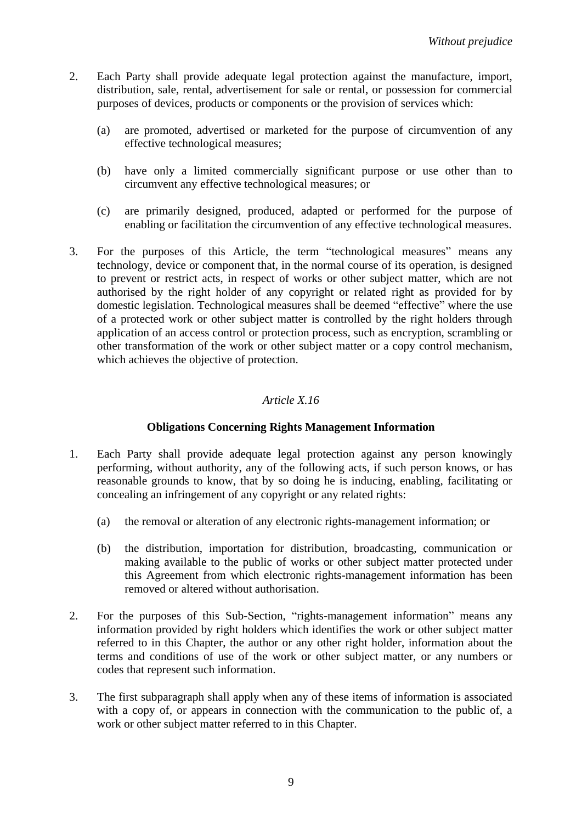- 2. Each Party shall provide adequate legal protection against the manufacture, import, distribution, sale, rental, advertisement for sale or rental, or possession for commercial purposes of devices, products or components or the provision of services which:
	- (a) are promoted, advertised or marketed for the purpose of circumvention of any effective technological measures;
	- (b) have only a limited commercially significant purpose or use other than to circumvent any effective technological measures; or
	- (c) are primarily designed, produced, adapted or performed for the purpose of enabling or facilitation the circumvention of any effective technological measures.
- 3. For the purposes of this Article, the term "technological measures" means any technology, device or component that, in the normal course of its operation, is designed to prevent or restrict acts, in respect of works or other subject matter, which are not authorised by the right holder of any copyright or related right as provided for by domestic legislation. Technological measures shall be deemed "effective" where the use of a protected work or other subject matter is controlled by the right holders through application of an access control or protection process, such as encryption, scrambling or other transformation of the work or other subject matter or a copy control mechanism, which achieves the objective of protection.

## **Obligations Concerning Rights Management Information**

- 1. Each Party shall provide adequate legal protection against any person knowingly performing, without authority, any of the following acts, if such person knows, or has reasonable grounds to know, that by so doing he is inducing, enabling, facilitating or concealing an infringement of any copyright or any related rights:
	- (a) the removal or alteration of any electronic rights-management information; or
	- (b) the distribution, importation for distribution, broadcasting, communication or making available to the public of works or other subject matter protected under this Agreement from which electronic rights-management information has been removed or altered without authorisation.
- 2. For the purposes of this Sub-Section, "rights-management information" means any information provided by right holders which identifies the work or other subject matter referred to in this Chapter, the author or any other right holder, information about the terms and conditions of use of the work or other subject matter, or any numbers or codes that represent such information.
- 3. The first subparagraph shall apply when any of these items of information is associated with a copy of, or appears in connection with the communication to the public of, a work or other subject matter referred to in this Chapter.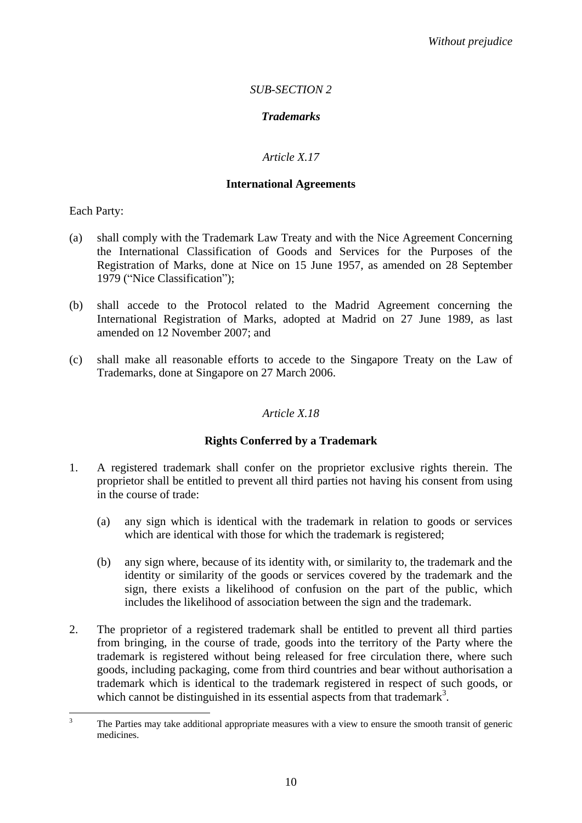# *SUB-SECTION 2*

# *Trademarks*

## *Article X.17*

### **International Agreements**

Each Party:

- (a) shall comply with the Trademark Law Treaty and with the Nice Agreement Concerning the International Classification of Goods and Services for the Purposes of the Registration of Marks, done at Nice on 15 June 1957, as amended on 28 September 1979 ("Nice Classification");
- (b) shall accede to the Protocol related to the Madrid Agreement concerning the International Registration of Marks, adopted at Madrid on 27 June 1989, as last amended on 12 November 2007; and
- (c) shall make all reasonable efforts to accede to the Singapore Treaty on the Law of Trademarks, done at Singapore on 27 March 2006.

## *Article X.18*

## **Rights Conferred by a Trademark**

- 1. A registered trademark shall confer on the proprietor exclusive rights therein. The proprietor shall be entitled to prevent all third parties not having his consent from using in the course of trade:
	- (a) any sign which is identical with the trademark in relation to goods or services which are identical with those for which the trademark is registered;
	- (b) any sign where, because of its identity with, or similarity to, the trademark and the identity or similarity of the goods or services covered by the trademark and the sign, there exists a likelihood of confusion on the part of the public, which includes the likelihood of association between the sign and the trademark.
- 2. The proprietor of a registered trademark shall be entitled to prevent all third parties from bringing, in the course of trade, goods into the territory of the Party where the trademark is registered without being released for free circulation there, where such goods, including packaging, come from third countries and bear without authorisation a trademark which is identical to the trademark registered in respect of such goods, or which cannot be distinguished in its essential aspects from that trademark<sup>3</sup>.

 $\overline{3}$ The Parties may take additional appropriate measures with a view to ensure the smooth transit of generic medicines.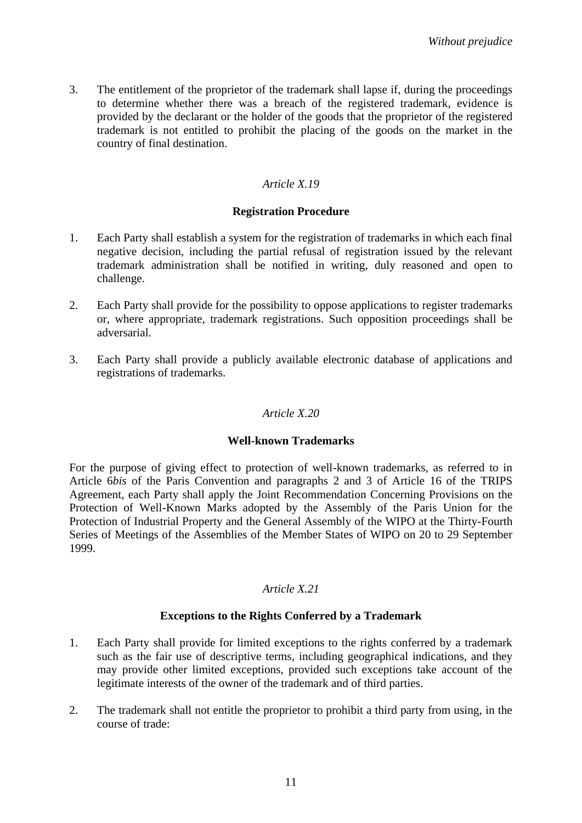3. The entitlement of the proprietor of the trademark shall lapse if, during the proceedings to determine whether there was a breach of the registered trademark, evidence is provided by the declarant or the holder of the goods that the proprietor of the registered trademark is not entitled to prohibit the placing of the goods on the market in the country of final destination.

# *Article X.19*

### **Registration Procedure**

- 1. Each Party shall establish a system for the registration of trademarks in which each final negative decision, including the partial refusal of registration issued by the relevant trademark administration shall be notified in writing, duly reasoned and open to challenge.
- 2. Each Party shall provide for the possibility to oppose applications to register trademarks or, where appropriate, trademark registrations. Such opposition proceedings shall be adversarial.
- 3. Each Party shall provide a publicly available electronic database of applications and registrations of trademarks.

## *Article X.20*

### **Well-known Trademarks**

For the purpose of giving effect to protection of well-known trademarks, as referred to in Article 6*bis* of the Paris Convention and paragraphs 2 and 3 of Article 16 of the TRIPS Agreement, each Party shall apply the Joint Recommendation Concerning Provisions on the Protection of Well-Known Marks adopted by the Assembly of the Paris Union for the Protection of Industrial Property and the General Assembly of the WIPO at the Thirty-Fourth Series of Meetings of the Assemblies of the Member States of WIPO on 20 to 29 September 1999.

### *Article X.21*

## **Exceptions to the Rights Conferred by a Trademark**

- 1. Each Party shall provide for limited exceptions to the rights conferred by a trademark such as the fair use of descriptive terms, including geographical indications, and they may provide other limited exceptions, provided such exceptions take account of the legitimate interests of the owner of the trademark and of third parties.
- 2. The trademark shall not entitle the proprietor to prohibit a third party from using, in the course of trade: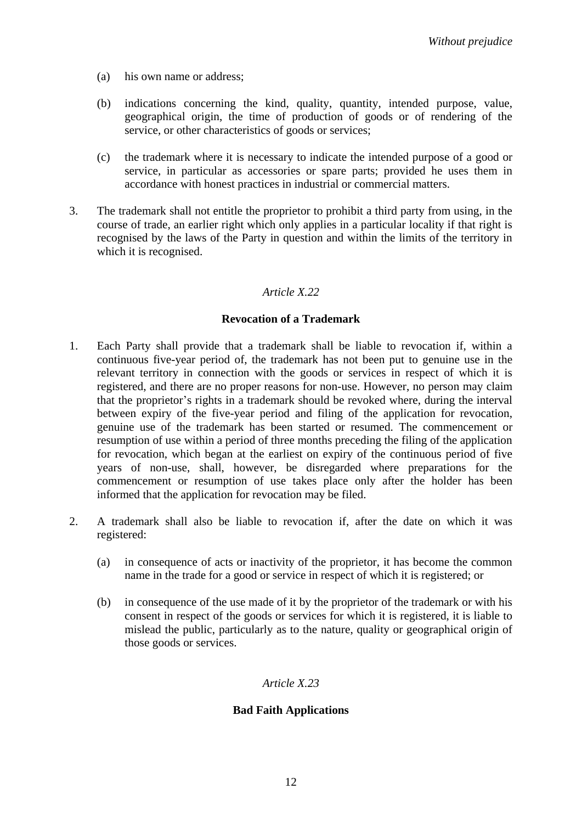- (a) his own name or address;
- (b) indications concerning the kind, quality, quantity, intended purpose, value, geographical origin, the time of production of goods or of rendering of the service, or other characteristics of goods or services;
- (c) the trademark where it is necessary to indicate the intended purpose of a good or service, in particular as accessories or spare parts; provided he uses them in accordance with honest practices in industrial or commercial matters.
- 3. The trademark shall not entitle the proprietor to prohibit a third party from using, in the course of trade, an earlier right which only applies in a particular locality if that right is recognised by the laws of the Party in question and within the limits of the territory in which it is recognised.

## **Revocation of a Trademark**

- 1. Each Party shall provide that a trademark shall be liable to revocation if, within a continuous five-year period of, the trademark has not been put to genuine use in the relevant territory in connection with the goods or services in respect of which it is registered, and there are no proper reasons for non-use. However, no person may claim that the proprietor's rights in a trademark should be revoked where, during the interval between expiry of the five-year period and filing of the application for revocation, genuine use of the trademark has been started or resumed. The commencement or resumption of use within a period of three months preceding the filing of the application for revocation, which began at the earliest on expiry of the continuous period of five years of non-use, shall, however, be disregarded where preparations for the commencement or resumption of use takes place only after the holder has been informed that the application for revocation may be filed.
- 2. A trademark shall also be liable to revocation if, after the date on which it was registered:
	- (a) in consequence of acts or inactivity of the proprietor, it has become the common name in the trade for a good or service in respect of which it is registered; or
	- (b) in consequence of the use made of it by the proprietor of the trademark or with his consent in respect of the goods or services for which it is registered, it is liable to mislead the public, particularly as to the nature, quality or geographical origin of those goods or services.

## *Article X.23*

## **Bad Faith Applications**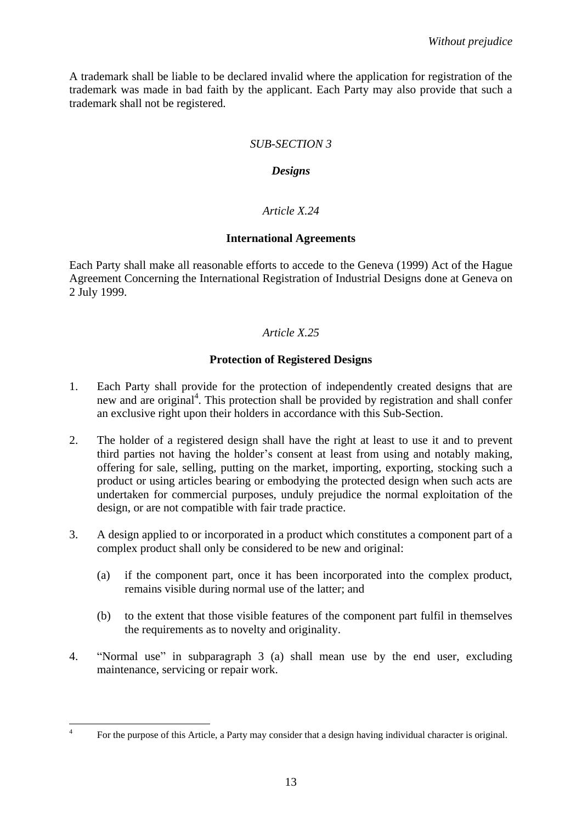A trademark shall be liable to be declared invalid where the application for registration of the trademark was made in bad faith by the applicant. Each Party may also provide that such a trademark shall not be registered.

# *SUB-SECTION 3*

## *Designs*

# *Article X.24*

## **International Agreements**

Each Party shall make all reasonable efforts to accede to the Geneva (1999) Act of the Hague Agreement Concerning the International Registration of Industrial Designs done at Geneva on 2 July 1999.

# *Article X.25*

## **Protection of Registered Designs**

- 1. Each Party shall provide for the protection of independently created designs that are new and are original<sup>4</sup>. This protection shall be provided by registration and shall confer an exclusive right upon their holders in accordance with this Sub-Section.
- 2. The holder of a registered design shall have the right at least to use it and to prevent third parties not having the holder's consent at least from using and notably making, offering for sale, selling, putting on the market, importing, exporting, stocking such a product or using articles bearing or embodying the protected design when such acts are undertaken for commercial purposes, unduly prejudice the normal exploitation of the design, or are not compatible with fair trade practice.
- 3. A design applied to or incorporated in a product which constitutes a component part of a complex product shall only be considered to be new and original:
	- (a) if the component part, once it has been incorporated into the complex product, remains visible during normal use of the latter; and
	- (b) to the extent that those visible features of the component part fulfil in themselves the requirements as to novelty and originality.
- 4. "Normal use" in subparagraph 3 (a) shall mean use by the end user, excluding maintenance, servicing or repair work.

-<br>4

For the purpose of this Article, a Party may consider that a design having individual character is original.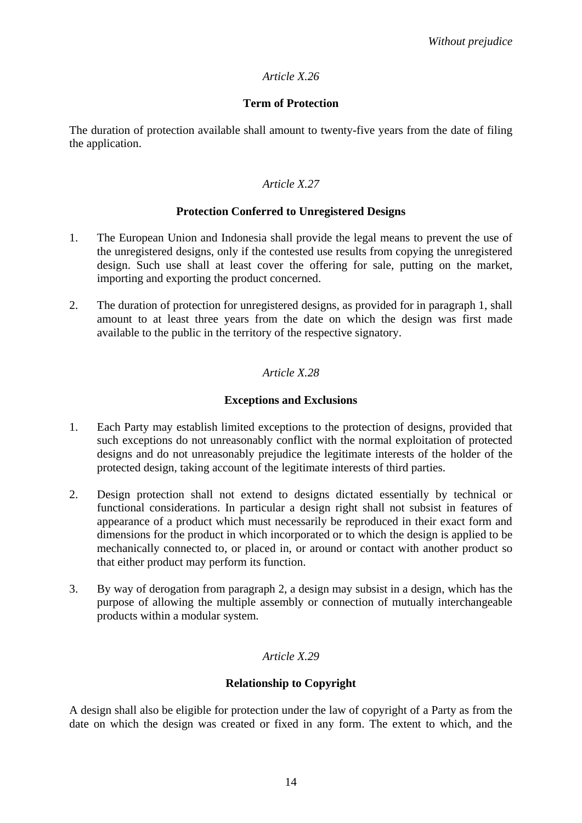### **Term of Protection**

The duration of protection available shall amount to twenty-five years from the date of filing the application.

## *Article X.27*

### **Protection Conferred to Unregistered Designs**

- 1. The European Union and Indonesia shall provide the legal means to prevent the use of the unregistered designs, only if the contested use results from copying the unregistered design. Such use shall at least cover the offering for sale, putting on the market, importing and exporting the product concerned.
- 2. The duration of protection for unregistered designs, as provided for in paragraph 1, shall amount to at least three years from the date on which the design was first made available to the public in the territory of the respective signatory.

# *Article X.28*

### **Exceptions and Exclusions**

- 1. Each Party may establish limited exceptions to the protection of designs, provided that such exceptions do not unreasonably conflict with the normal exploitation of protected designs and do not unreasonably prejudice the legitimate interests of the holder of the protected design, taking account of the legitimate interests of third parties.
- 2. Design protection shall not extend to designs dictated essentially by technical or functional considerations. In particular a design right shall not subsist in features of appearance of a product which must necessarily be reproduced in their exact form and dimensions for the product in which incorporated or to which the design is applied to be mechanically connected to, or placed in, or around or contact with another product so that either product may perform its function.
- 3. By way of derogation from paragraph 2, a design may subsist in a design, which has the purpose of allowing the multiple assembly or connection of mutually interchangeable products within a modular system.

## *Article X.29*

## **Relationship to Copyright**

A design shall also be eligible for protection under the law of copyright of a Party as from the date on which the design was created or fixed in any form. The extent to which, and the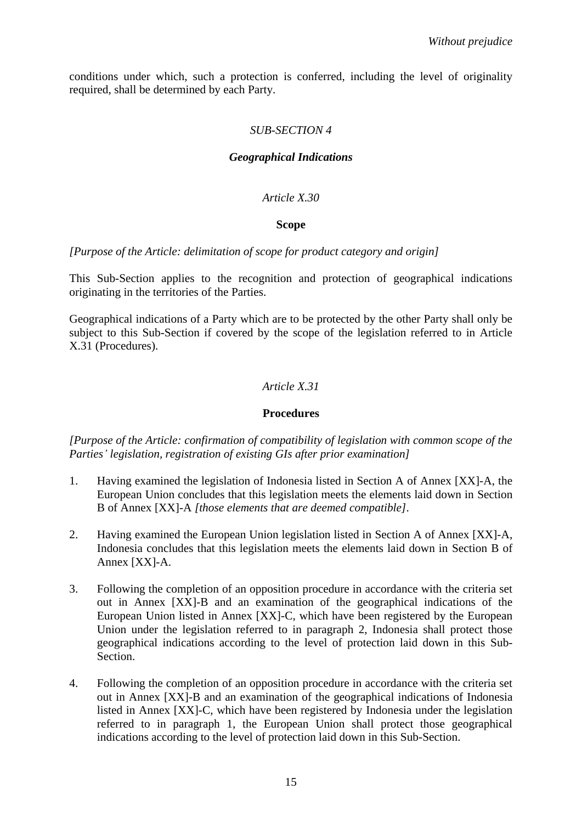conditions under which, such a protection is conferred, including the level of originality required, shall be determined by each Party.

## *SUB-SECTION 4*

## *Geographical Indications*

## *Article X.30*

### **Scope**

*[Purpose of the Article: delimitation of scope for product category and origin]*

This Sub-Section applies to the recognition and protection of geographical indications originating in the territories of the Parties.

Geographical indications of a Party which are to be protected by the other Party shall only be subject to this Sub-Section if covered by the scope of the legislation referred to in Article X.31 (Procedures).

# *Article X.31*

## **Procedures**

*[Purpose of the Article: confirmation of compatibility of legislation with common scope of the Parties' legislation, registration of existing GIs after prior examination]*

- 1. Having examined the legislation of Indonesia listed in Section A of Annex [XX]-A, the European Union concludes that this legislation meets the elements laid down in Section B of Annex [XX]-A *[those elements that are deemed compatible]*.
- 2. Having examined the European Union legislation listed in Section A of Annex [XX]-A, Indonesia concludes that this legislation meets the elements laid down in Section B of Annex [XX]-A.
- 3. Following the completion of an opposition procedure in accordance with the criteria set out in Annex [XX]-B and an examination of the geographical indications of the European Union listed in Annex [XX]-C, which have been registered by the European Union under the legislation referred to in paragraph 2, Indonesia shall protect those geographical indications according to the level of protection laid down in this Sub-Section.
- 4. Following the completion of an opposition procedure in accordance with the criteria set out in Annex [XX]-B and an examination of the geographical indications of Indonesia listed in Annex [XX]-C, which have been registered by Indonesia under the legislation referred to in paragraph 1, the European Union shall protect those geographical indications according to the level of protection laid down in this Sub-Section.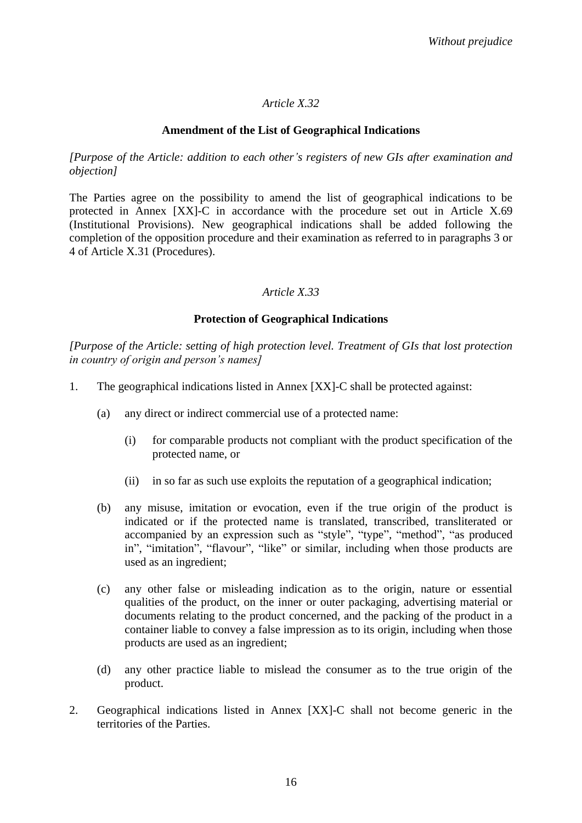### **Amendment of the List of Geographical Indications**

*[Purpose of the Article: addition to each other's registers of new GIs after examination and objection]*

The Parties agree on the possibility to amend the list of geographical indications to be protected in Annex [XX]-C in accordance with the procedure set out in Article X.69 (Institutional Provisions). New geographical indications shall be added following the completion of the opposition procedure and their examination as referred to in paragraphs 3 or 4 of Article X.31 (Procedures).

### *Article X.33*

### **Protection of Geographical Indications**

*[Purpose of the Article: setting of high protection level. Treatment of GIs that lost protection in country of origin and person's names]*

- 1. The geographical indications listed in Annex [XX]-C shall be protected against:
	- (a) any direct or indirect commercial use of a protected name:
		- (i) for comparable products not compliant with the product specification of the protected name, or
		- (ii) in so far as such use exploits the reputation of a geographical indication;
	- (b) any misuse, imitation or evocation, even if the true origin of the product is indicated or if the protected name is translated, transcribed, transliterated or accompanied by an expression such as "style", "type", "method", "as produced in", "imitation", "flavour", "like" or similar, including when those products are used as an ingredient;
	- (c) any other false or misleading indication as to the origin, nature or essential qualities of the product, on the inner or outer packaging, advertising material or documents relating to the product concerned, and the packing of the product in a container liable to convey a false impression as to its origin, including when those products are used as an ingredient;
	- (d) any other practice liable to mislead the consumer as to the true origin of the product.
- 2. Geographical indications listed in Annex [XX]-C shall not become generic in the territories of the Parties.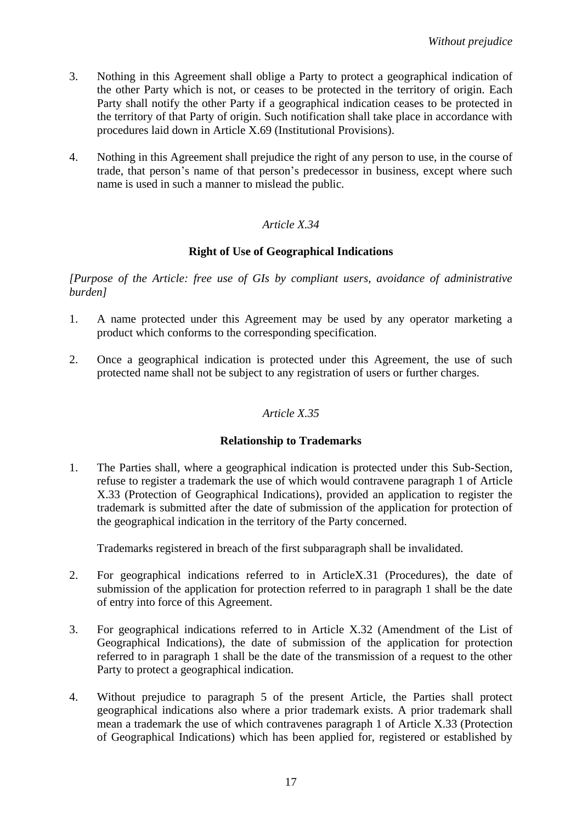- 3. Nothing in this Agreement shall oblige a Party to protect a geographical indication of the other Party which is not, or ceases to be protected in the territory of origin. Each Party shall notify the other Party if a geographical indication ceases to be protected in the territory of that Party of origin. Such notification shall take place in accordance with procedures laid down in Article X.69 (Institutional Provisions).
- 4. Nothing in this Agreement shall prejudice the right of any person to use, in the course of trade, that person's name of that person's predecessor in business, except where such name is used in such a manner to mislead the public.

## **Right of Use of Geographical Indications**

*[Purpose of the Article: free use of GIs by compliant users, avoidance of administrative burden]*

- 1. A name protected under this Agreement may be used by any operator marketing a product which conforms to the corresponding specification.
- 2. Once a geographical indication is protected under this Agreement, the use of such protected name shall not be subject to any registration of users or further charges.

### *Article X.35*

### **Relationship to Trademarks**

1. The Parties shall, where a geographical indication is protected under this Sub-Section, refuse to register a trademark the use of which would contravene paragraph 1 of Article X.33 (Protection of Geographical Indications), provided an application to register the trademark is submitted after the date of submission of the application for protection of the geographical indication in the territory of the Party concerned.

Trademarks registered in breach of the first subparagraph shall be invalidated.

- 2. For geographical indications referred to in ArticleX.31 (Procedures), the date of submission of the application for protection referred to in paragraph 1 shall be the date of entry into force of this Agreement.
- 3. For geographical indications referred to in Article X.32 (Amendment of the List of Geographical Indications), the date of submission of the application for protection referred to in paragraph 1 shall be the date of the transmission of a request to the other Party to protect a geographical indication.
- 4. Without prejudice to paragraph 5 of the present Article, the Parties shall protect geographical indications also where a prior trademark exists. A prior trademark shall mean a trademark the use of which contravenes paragraph 1 of Article X.33 (Protection of Geographical Indications) which has been applied for, registered or established by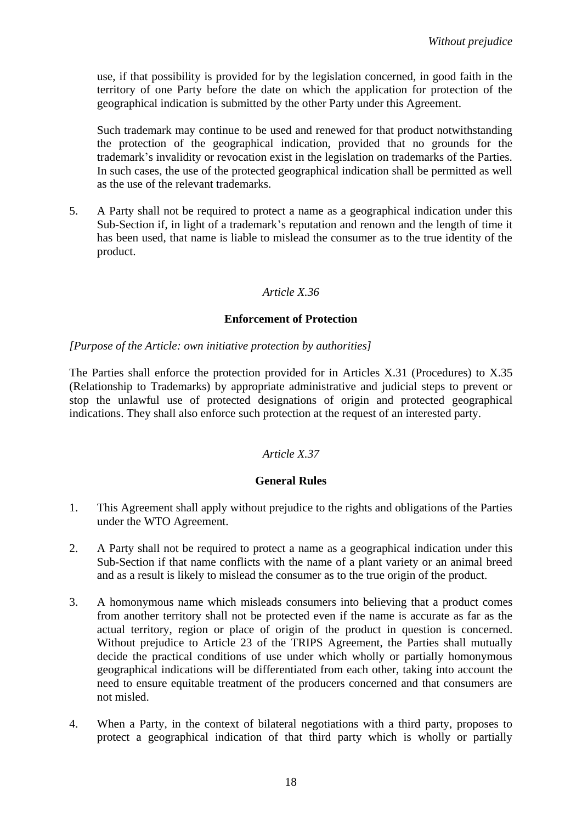use, if that possibility is provided for by the legislation concerned, in good faith in the territory of one Party before the date on which the application for protection of the geographical indication is submitted by the other Party under this Agreement.

Such trademark may continue to be used and renewed for that product notwithstanding the protection of the geographical indication, provided that no grounds for the trademark's invalidity or revocation exist in the legislation on trademarks of the Parties. In such cases, the use of the protected geographical indication shall be permitted as well as the use of the relevant trademarks.

5. A Party shall not be required to protect a name as a geographical indication under this Sub-Section if, in light of a trademark's reputation and renown and the length of time it has been used, that name is liable to mislead the consumer as to the true identity of the product.

## *Article X.36*

## **Enforcement of Protection**

*[Purpose of the Article: own initiative protection by authorities]*

The Parties shall enforce the protection provided for in Articles X.31 (Procedures) to X.35 (Relationship to Trademarks) by appropriate administrative and judicial steps to prevent or stop the unlawful use of protected designations of origin and protected geographical indications. They shall also enforce such protection at the request of an interested party.

## *Article X.37*

## **General Rules**

- 1. This Agreement shall apply without prejudice to the rights and obligations of the Parties under the WTO Agreement.
- 2. A Party shall not be required to protect a name as a geographical indication under this Sub-Section if that name conflicts with the name of a plant variety or an animal breed and as a result is likely to mislead the consumer as to the true origin of the product.
- 3. A homonymous name which misleads consumers into believing that a product comes from another territory shall not be protected even if the name is accurate as far as the actual territory, region or place of origin of the product in question is concerned. Without prejudice to Article 23 of the TRIPS Agreement, the Parties shall mutually decide the practical conditions of use under which wholly or partially homonymous geographical indications will be differentiated from each other, taking into account the need to ensure equitable treatment of the producers concerned and that consumers are not misled.
- 4. When a Party, in the context of bilateral negotiations with a third party, proposes to protect a geographical indication of that third party which is wholly or partially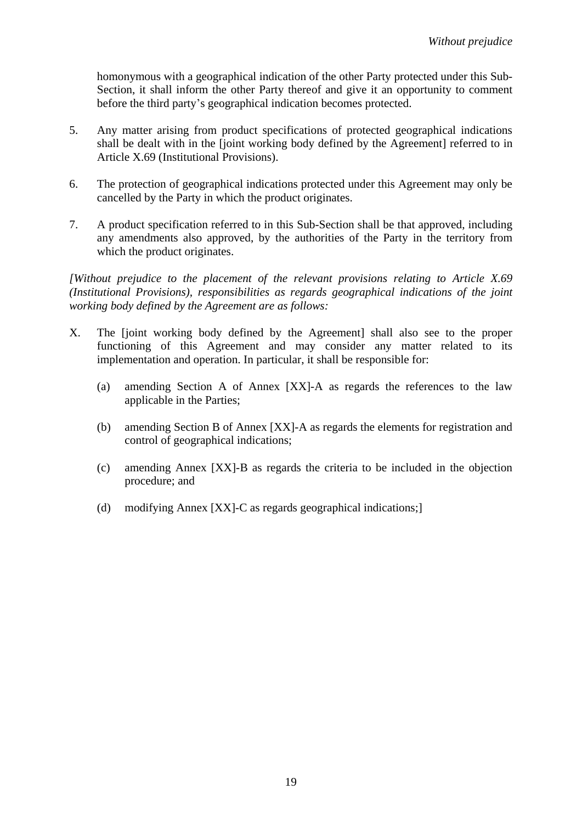homonymous with a geographical indication of the other Party protected under this Sub-Section, it shall inform the other Party thereof and give it an opportunity to comment before the third party's geographical indication becomes protected.

- 5. Any matter arising from product specifications of protected geographical indications shall be dealt with in the [joint working body defined by the Agreement] referred to in Article X.69 (Institutional Provisions).
- 6. The protection of geographical indications protected under this Agreement may only be cancelled by the Party in which the product originates.
- 7. A product specification referred to in this Sub-Section shall be that approved, including any amendments also approved, by the authorities of the Party in the territory from which the product originates.

*[Without prejudice to the placement of the relevant provisions relating to Article X.69 (Institutional Provisions), responsibilities as regards geographical indications of the joint working body defined by the Agreement are as follows:*

- X. The [joint working body defined by the Agreement] shall also see to the proper functioning of this Agreement and may consider any matter related to its implementation and operation. In particular, it shall be responsible for:
	- (a) amending Section A of Annex [XX]-A as regards the references to the law applicable in the Parties;
	- (b) amending Section B of Annex [XX]-A as regards the elements for registration and control of geographical indications;
	- (c) amending Annex [XX]-B as regards the criteria to be included in the objection procedure; and
	- (d) modifying Annex [XX]-C as regards geographical indications;]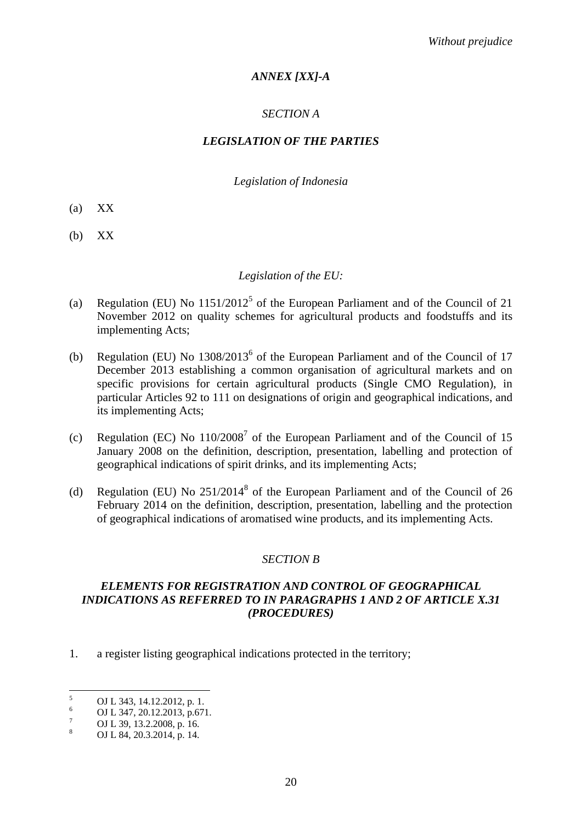# *ANNEX [XX]-A*

## *SECTION A*

## *LEGISLATION OF THE PARTIES*

### *Legislation of Indonesia*

- (a) XX
- (b) XX

### *Legislation of the EU:*

- (a) Regulation (EU) No  $1151/2012^5$  of the European Parliament and of the Council of 21 November 2012 on quality schemes for agricultural products and foodstuffs and its implementing Acts;
- (b) Regulation (EU) No  $1308/2013^6$  of the European Parliament and of the Council of 17 December 2013 establishing a common organisation of agricultural markets and on specific provisions for certain agricultural products (Single CMO Regulation), in particular Articles 92 to 111 on designations of origin and geographical indications, and its implementing Acts;
- (c) Regulation (EC) No  $110/2008^7$  of the European Parliament and of the Council of 15 January 2008 on the definition, description, presentation, labelling and protection of geographical indications of spirit drinks, and its implementing Acts;
- (d) Regulation (EU) No  $251/2014<sup>8</sup>$  of the European Parliament and of the Council of 26 February 2014 on the definition, description, presentation, labelling and the protection of geographical indications of aromatised wine products, and its implementing Acts.

### *SECTION B*

### *ELEMENTS FOR REGISTRATION AND CONTROL OF GEOGRAPHICAL INDICATIONS AS REFERRED TO IN PARAGRAPHS 1 AND 2 OF ARTICLE X.31 (PROCEDURES)*

1. a register listing geographical indications protected in the territory;

 $\overline{5}$  $\frac{5}{6}$  OJ L 343, 14.12.2012, p. 1.

 $^{6}$  OJ L 347, 20.12.2013, p.671.

 $\frac{7}{8}$  OJ L 39, 13.2.2008, p. 16.

<sup>8</sup> OJ L 84, 20.3.2014, p. 14.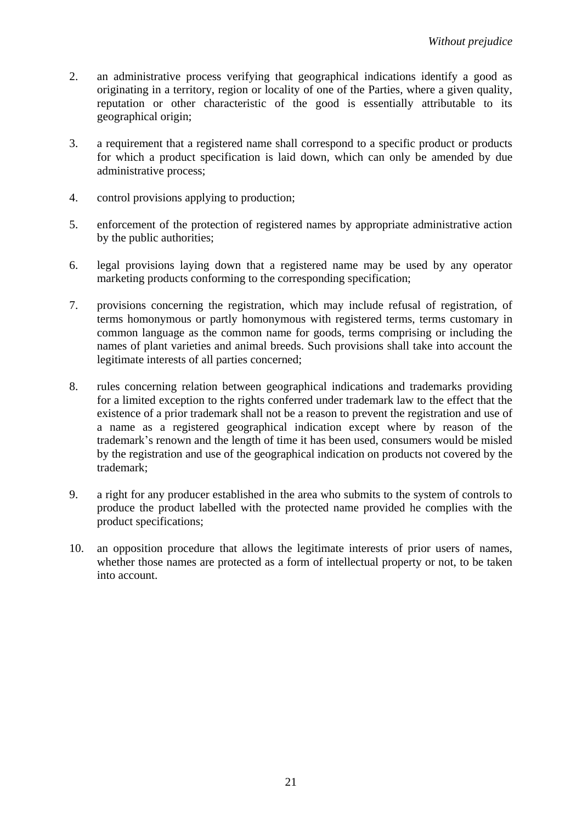- 2. an administrative process verifying that geographical indications identify a good as originating in a territory, region or locality of one of the Parties, where a given quality, reputation or other characteristic of the good is essentially attributable to its geographical origin;
- 3. a requirement that a registered name shall correspond to a specific product or products for which a product specification is laid down, which can only be amended by due administrative process;
- 4. control provisions applying to production;
- 5. enforcement of the protection of registered names by appropriate administrative action by the public authorities;
- 6. legal provisions laying down that a registered name may be used by any operator marketing products conforming to the corresponding specification;
- 7. provisions concerning the registration, which may include refusal of registration, of terms homonymous or partly homonymous with registered terms, terms customary in common language as the common name for goods, terms comprising or including the names of plant varieties and animal breeds. Such provisions shall take into account the legitimate interests of all parties concerned;
- 8. rules concerning relation between geographical indications and trademarks providing for a limited exception to the rights conferred under trademark law to the effect that the existence of a prior trademark shall not be a reason to prevent the registration and use of a name as a registered geographical indication except where by reason of the trademark's renown and the length of time it has been used, consumers would be misled by the registration and use of the geographical indication on products not covered by the trademark;
- 9. a right for any producer established in the area who submits to the system of controls to produce the product labelled with the protected name provided he complies with the product specifications;
- 10. an opposition procedure that allows the legitimate interests of prior users of names, whether those names are protected as a form of intellectual property or not, to be taken into account.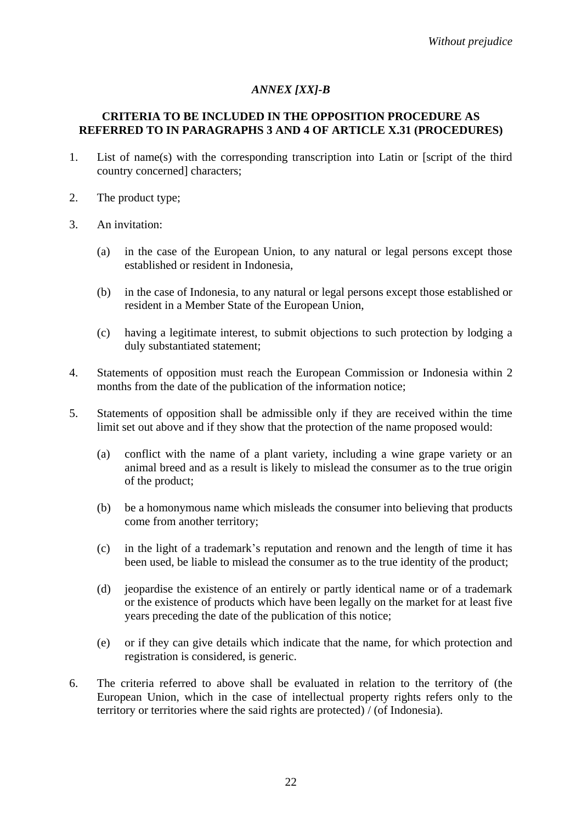# *ANNEX [XX]-B*

## **CRITERIA TO BE INCLUDED IN THE OPPOSITION PROCEDURE AS REFERRED TO IN PARAGRAPHS 3 AND 4 OF ARTICLE X.31 (PROCEDURES)**

- 1. List of name(s) with the corresponding transcription into Latin or [script of the third country concerned] characters;
- 2. The product type;
- 3. An invitation:
	- (a) in the case of the European Union, to any natural or legal persons except those established or resident in Indonesia,
	- (b) in the case of Indonesia, to any natural or legal persons except those established or resident in a Member State of the European Union,
	- (c) having a legitimate interest, to submit objections to such protection by lodging a duly substantiated statement;
- 4. Statements of opposition must reach the European Commission or Indonesia within 2 months from the date of the publication of the information notice;
- 5. Statements of opposition shall be admissible only if they are received within the time limit set out above and if they show that the protection of the name proposed would:
	- (a) conflict with the name of a plant variety, including a wine grape variety or an animal breed and as a result is likely to mislead the consumer as to the true origin of the product;
	- (b) be a homonymous name which misleads the consumer into believing that products come from another territory;
	- (c) in the light of a trademark's reputation and renown and the length of time it has been used, be liable to mislead the consumer as to the true identity of the product;
	- (d) jeopardise the existence of an entirely or partly identical name or of a trademark or the existence of products which have been legally on the market for at least five years preceding the date of the publication of this notice;
	- (e) or if they can give details which indicate that the name, for which protection and registration is considered, is generic.
- 6. The criteria referred to above shall be evaluated in relation to the territory of (the European Union, which in the case of intellectual property rights refers only to the territory or territories where the said rights are protected) / (of Indonesia).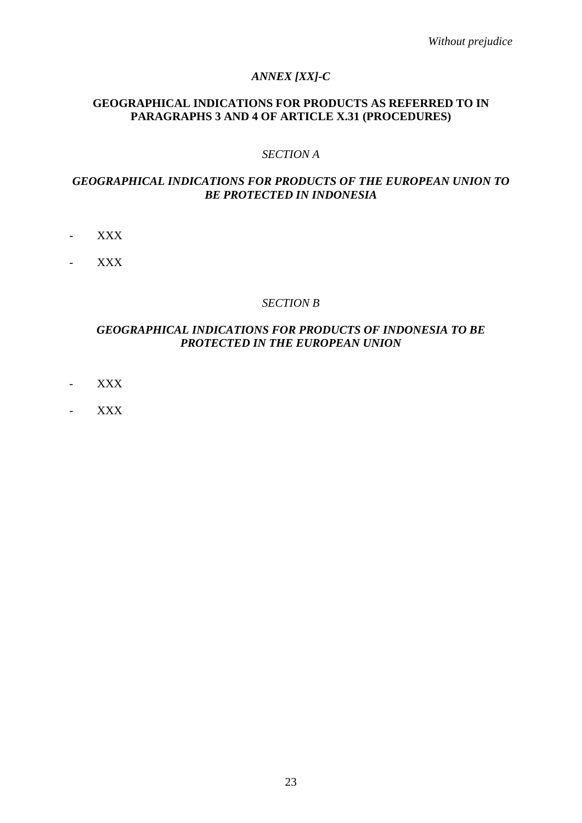# *ANNEX [XX]-C*

## **GEOGRAPHICAL INDICATIONS FOR PRODUCTS AS REFERRED TO IN PARAGRAPHS 3 AND 4 OF ARTICLE X.31 (PROCEDURES)**

# *SECTION A*

## *GEOGRAPHICAL INDICATIONS FOR PRODUCTS OF THE EUROPEAN UNION TO BE PROTECTED IN INDONESIA*

- XXX
- XXX

# *SECTION B*

## *GEOGRAPHICAL INDICATIONS FOR PRODUCTS OF INDONESIA TO BE PROTECTED IN THE EUROPEAN UNION*

- XXX
- XXX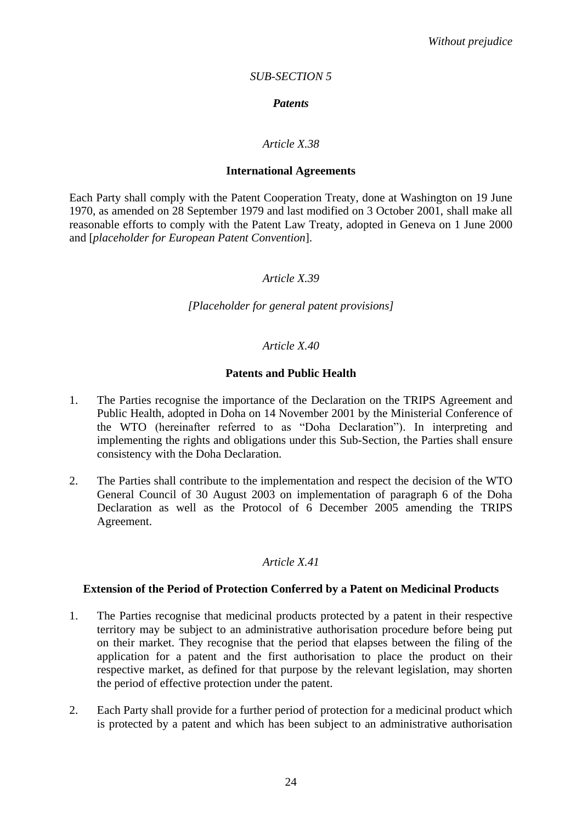# *SUB-SECTION 5*

## *Patents*

# *Article X.38*

### **International Agreements**

Each Party shall comply with the Patent Cooperation Treaty, done at Washington on 19 June 1970, as amended on 28 September 1979 and last modified on 3 October 2001, shall make all reasonable efforts to comply with the Patent Law Treaty, adopted in Geneva on 1 June 2000 and [*placeholder for European Patent Convention*].

## *Article X.39*

*[Placeholder for general patent provisions]*

# *Article X.40*

## **Patents and Public Health**

- 1. The Parties recognise the importance of the Declaration on the TRIPS Agreement and Public Health, adopted in Doha on 14 November 2001 by the Ministerial Conference of the WTO (hereinafter referred to as "Doha Declaration"). In interpreting and implementing the rights and obligations under this Sub-Section, the Parties shall ensure consistency with the Doha Declaration.
- 2. The Parties shall contribute to the implementation and respect the decision of the WTO General Council of 30 August 2003 on implementation of paragraph 6 of the Doha Declaration as well as the Protocol of 6 December 2005 amending the TRIPS Agreement.

## *Article X.41*

### **Extension of the Period of Protection Conferred by a Patent on Medicinal Products**

- 1. The Parties recognise that medicinal products protected by a patent in their respective territory may be subject to an administrative authorisation procedure before being put on their market. They recognise that the period that elapses between the filing of the application for a patent and the first authorisation to place the product on their respective market, as defined for that purpose by the relevant legislation, may shorten the period of effective protection under the patent.
- 2. Each Party shall provide for a further period of protection for a medicinal product which is protected by a patent and which has been subject to an administrative authorisation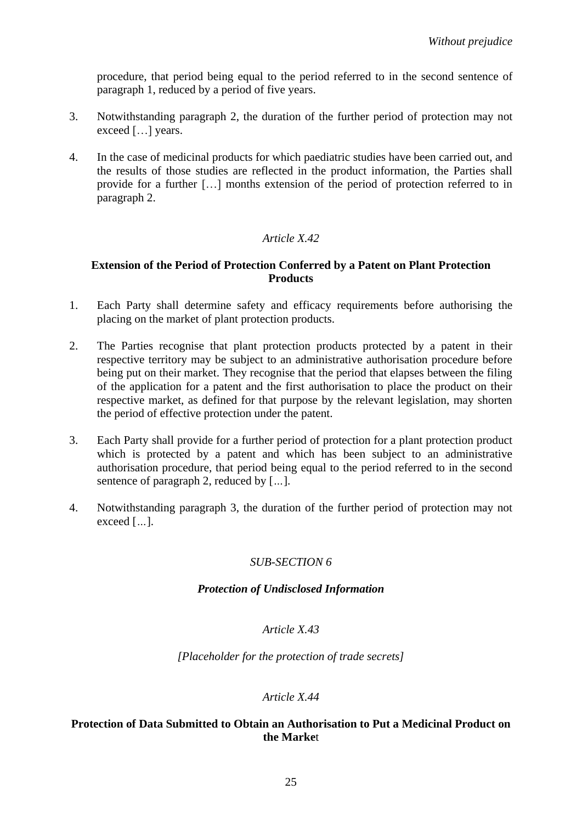procedure, that period being equal to the period referred to in the second sentence of paragraph 1, reduced by a period of five years.

- 3. Notwithstanding paragraph 2, the duration of the further period of protection may not exceed […] years.
- 4. In the case of medicinal products for which paediatric studies have been carried out, and the results of those studies are reflected in the product information, the Parties shall provide for a further […] months extension of the period of protection referred to in paragraph 2.

# *Article X.42*

### **Extension of the Period of Protection Conferred by a Patent on Plant Protection Products**

- 1. Each Party shall determine safety and efficacy requirements before authorising the placing on the market of plant protection products.
- 2. The Parties recognise that plant protection products protected by a patent in their respective territory may be subject to an administrative authorisation procedure before being put on their market. They recognise that the period that elapses between the filing of the application for a patent and the first authorisation to place the product on their respective market, as defined for that purpose by the relevant legislation, may shorten the period of effective protection under the patent.
- 3. Each Party shall provide for a further period of protection for a plant protection product which is protected by a patent and which has been subject to an administrative authorisation procedure, that period being equal to the period referred to in the second sentence of paragraph 2, reduced by [*…*].
- 4. Notwithstanding paragraph 3, the duration of the further period of protection may not exceed [*…*].

## *SUB-SECTION 6*

## *Protection of Undisclosed Information*

## *Article X.43*

*[Placeholder for the protection of trade secrets]*

## *Article X.44*

### **Protection of Data Submitted to Obtain an Authorisation to Put a Medicinal Product on the Marke**t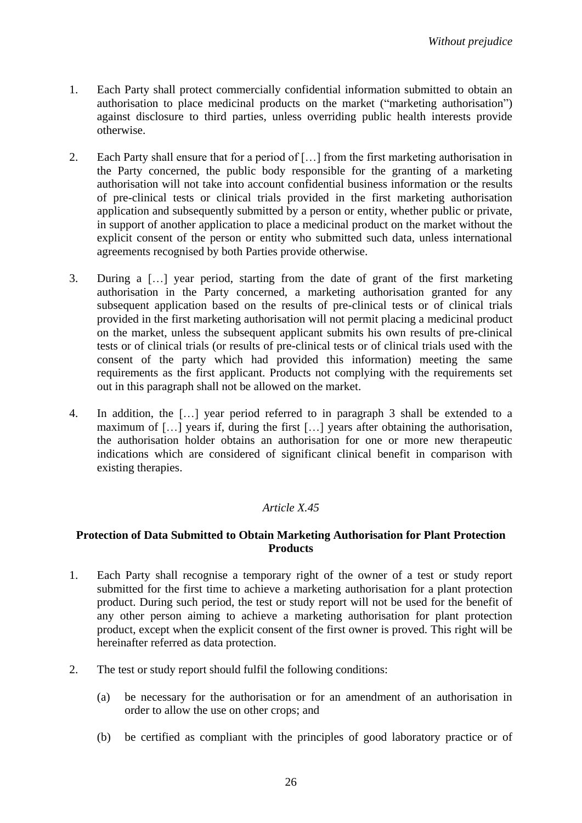- 1. Each Party shall protect commercially confidential information submitted to obtain an authorisation to place medicinal products on the market ("marketing authorisation") against disclosure to third parties, unless overriding public health interests provide otherwise.
- 2. Each Party shall ensure that for a period of […] from the first marketing authorisation in the Party concerned, the public body responsible for the granting of a marketing authorisation will not take into account confidential business information or the results of pre-clinical tests or clinical trials provided in the first marketing authorisation application and subsequently submitted by a person or entity, whether public or private, in support of another application to place a medicinal product on the market without the explicit consent of the person or entity who submitted such data, unless international agreements recognised by both Parties provide otherwise.
- 3. During a […] year period, starting from the date of grant of the first marketing authorisation in the Party concerned, a marketing authorisation granted for any subsequent application based on the results of pre-clinical tests or of clinical trials provided in the first marketing authorisation will not permit placing a medicinal product on the market, unless the subsequent applicant submits his own results of pre-clinical tests or of clinical trials (or results of pre-clinical tests or of clinical trials used with the consent of the party which had provided this information) meeting the same requirements as the first applicant. Products not complying with the requirements set out in this paragraph shall not be allowed on the market.
- 4. In addition, the […] year period referred to in paragraph 3 shall be extended to a maximum of […] years if, during the first […] years after obtaining the authorisation, the authorisation holder obtains an authorisation for one or more new therapeutic indications which are considered of significant clinical benefit in comparison with existing therapies.

## **Protection of Data Submitted to Obtain Marketing Authorisation for Plant Protection Products**

- 1. Each Party shall recognise a temporary right of the owner of a test or study report submitted for the first time to achieve a marketing authorisation for a plant protection product. During such period, the test or study report will not be used for the benefit of any other person aiming to achieve a marketing authorisation for plant protection product, except when the explicit consent of the first owner is proved. This right will be hereinafter referred as data protection.
- 2. The test or study report should fulfil the following conditions:
	- (a) be necessary for the authorisation or for an amendment of an authorisation in order to allow the use on other crops; and
	- (b) be certified as compliant with the principles of good laboratory practice or of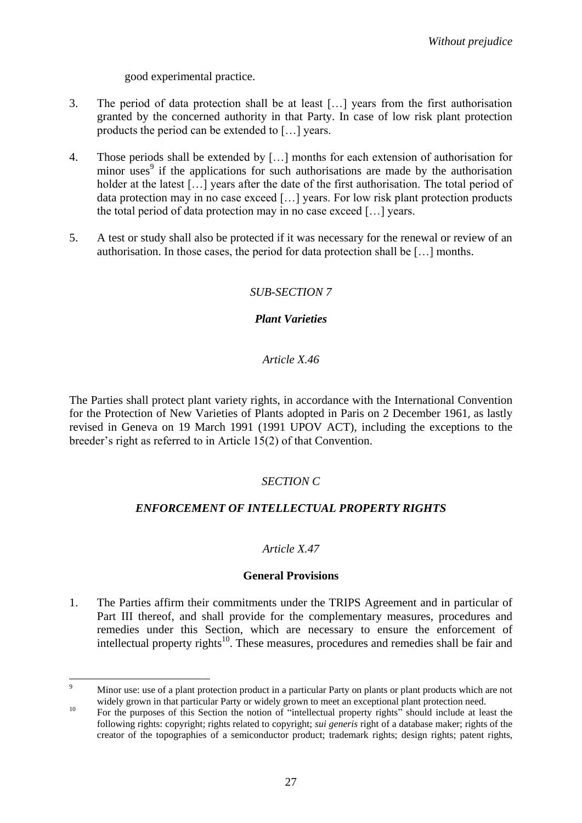good experimental practice.

- 3. The period of data protection shall be at least […] years from the first authorisation granted by the concerned authority in that Party. In case of low risk plant protection products the period can be extended to […] years.
- 4. Those periods shall be extended by […] months for each extension of authorisation for minor uses<sup>9</sup> if the applications for such authorisations are made by the authorisation holder at the latest [...] years after the date of the first authorisation. The total period of data protection may in no case exceed […] years. For low risk plant protection products the total period of data protection may in no case exceed […] years.
- 5. A test or study shall also be protected if it was necessary for the renewal or review of an authorisation. In those cases, the period for data protection shall be […] months.

# *SUB-SECTION 7*

# *Plant Varieties*

## *Article X.46*

The Parties shall protect plant variety rights, in accordance with the International Convention for the Protection of New Varieties of Plants adopted in Paris on 2 December 1961, as lastly revised in Geneva on 19 March 1991 (1991 UPOV ACT), including the exceptions to the breeder's right as referred to in Article 15(2) of that Convention.

# *SECTION C*

## *ENFORCEMENT OF INTELLECTUAL PROPERTY RIGHTS*

## *Article X.47*

## **General Provisions**

1. The Parties affirm their commitments under the TRIPS Agreement and in particular of Part III thereof, and shall provide for the complementary measures, procedures and remedies under this Section, which are necessary to ensure the enforcement of intellectual property rights $10$ . These measures, procedures and remedies shall be fair and

 $\overline{Q}$ Minor use: use of a plant protection product in a particular Party on plants or plant products which are not widely grown in that particular Party or widely grown to meet an exceptional plant protection need.

<sup>&</sup>lt;sup>10</sup> For the purposes of this Section the notion of "intellectual property rights" should include at least the following rights: copyright; rights related to copyright; *sui generis* right of a database maker; rights of the creator of the topographies of a semiconductor product; trademark rights; design rights; patent rights,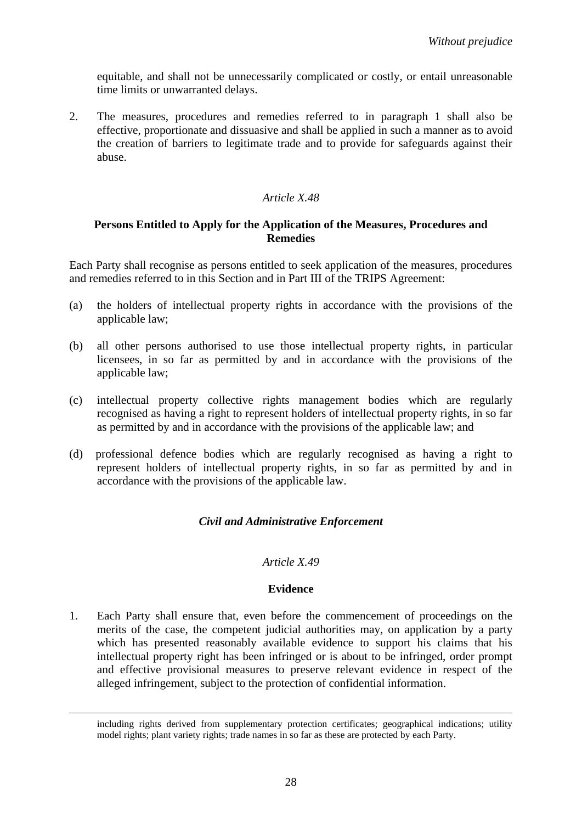equitable, and shall not be unnecessarily complicated or costly, or entail unreasonable time limits or unwarranted delays.

2. The measures, procedures and remedies referred to in paragraph 1 shall also be effective, proportionate and dissuasive and shall be applied in such a manner as to avoid the creation of barriers to legitimate trade and to provide for safeguards against their abuse.

## *Article X.48*

### **Persons Entitled to Apply for the Application of the Measures, Procedures and Remedies**

Each Party shall recognise as persons entitled to seek application of the measures, procedures and remedies referred to in this Section and in Part III of the TRIPS Agreement:

- (a) the holders of intellectual property rights in accordance with the provisions of the applicable law;
- (b) all other persons authorised to use those intellectual property rights, in particular licensees, in so far as permitted by and in accordance with the provisions of the applicable law;
- (c) intellectual property collective rights management bodies which are regularly recognised as having a right to represent holders of intellectual property rights, in so far as permitted by and in accordance with the provisions of the applicable law; and
- (d) professional defence bodies which are regularly recognised as having a right to represent holders of intellectual property rights, in so far as permitted by and in accordance with the provisions of the applicable law.

## *Civil and Administrative Enforcement*

## *Article X.49*

### **Evidence**

1. Each Party shall ensure that, even before the commencement of proceedings on the merits of the case, the competent judicial authorities may, on application by a party which has presented reasonably available evidence to support his claims that his intellectual property right has been infringed or is about to be infringed, order prompt and effective provisional measures to preserve relevant evidence in respect of the alleged infringement, subject to the protection of confidential information.

1

including rights derived from supplementary protection certificates; geographical indications; utility model rights; plant variety rights; trade names in so far as these are protected by each Party.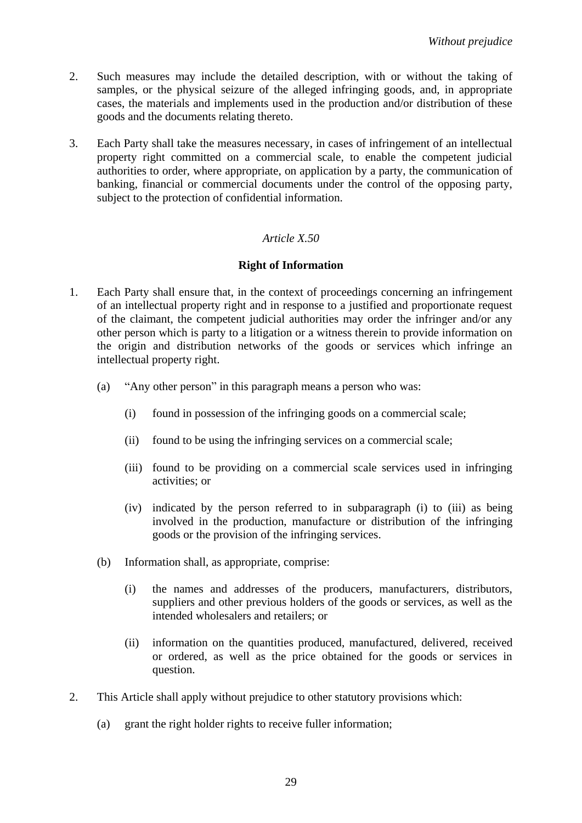- 2. Such measures may include the detailed description, with or without the taking of samples, or the physical seizure of the alleged infringing goods, and, in appropriate cases, the materials and implements used in the production and/or distribution of these goods and the documents relating thereto.
- 3. Each Party shall take the measures necessary, in cases of infringement of an intellectual property right committed on a commercial scale, to enable the competent judicial authorities to order, where appropriate, on application by a party, the communication of banking, financial or commercial documents under the control of the opposing party, subject to the protection of confidential information.

# **Right of Information**

- 1. Each Party shall ensure that, in the context of proceedings concerning an infringement of an intellectual property right and in response to a justified and proportionate request of the claimant, the competent judicial authorities may order the infringer and/or any other person which is party to a litigation or a witness therein to provide information on the origin and distribution networks of the goods or services which infringe an intellectual property right.
	- (a) "Any other person" in this paragraph means a person who was:
		- (i) found in possession of the infringing goods on a commercial scale;
		- (ii) found to be using the infringing services on a commercial scale;
		- (iii) found to be providing on a commercial scale services used in infringing activities; or
		- (iv) indicated by the person referred to in subparagraph (i) to (iii) as being involved in the production, manufacture or distribution of the infringing goods or the provision of the infringing services.
	- (b) Information shall, as appropriate, comprise:
		- (i) the names and addresses of the producers, manufacturers, distributors, suppliers and other previous holders of the goods or services, as well as the intended wholesalers and retailers; or
		- (ii) information on the quantities produced, manufactured, delivered, received or ordered, as well as the price obtained for the goods or services in question.
- 2. This Article shall apply without prejudice to other statutory provisions which:
	- (a) grant the right holder rights to receive fuller information;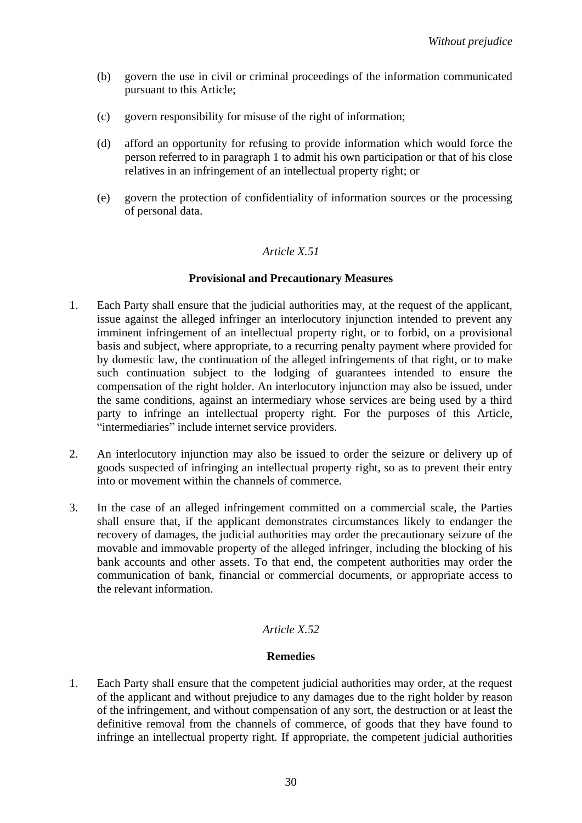- (b) govern the use in civil or criminal proceedings of the information communicated pursuant to this Article;
- (c) govern responsibility for misuse of the right of information;
- (d) afford an opportunity for refusing to provide information which would force the person referred to in paragraph 1 to admit his own participation or that of his close relatives in an infringement of an intellectual property right; or
- (e) govern the protection of confidentiality of information sources or the processing of personal data.

### **Provisional and Precautionary Measures**

- 1. Each Party shall ensure that the judicial authorities may, at the request of the applicant, issue against the alleged infringer an interlocutory injunction intended to prevent any imminent infringement of an intellectual property right, or to forbid, on a provisional basis and subject, where appropriate, to a recurring penalty payment where provided for by domestic law, the continuation of the alleged infringements of that right, or to make such continuation subject to the lodging of guarantees intended to ensure the compensation of the right holder. An interlocutory injunction may also be issued, under the same conditions, against an intermediary whose services are being used by a third party to infringe an intellectual property right. For the purposes of this Article, "intermediaries" include internet service providers.
- 2. An interlocutory injunction may also be issued to order the seizure or delivery up of goods suspected of infringing an intellectual property right, so as to prevent their entry into or movement within the channels of commerce.
- 3. In the case of an alleged infringement committed on a commercial scale, the Parties shall ensure that, if the applicant demonstrates circumstances likely to endanger the recovery of damages, the judicial authorities may order the precautionary seizure of the movable and immovable property of the alleged infringer, including the blocking of his bank accounts and other assets. To that end, the competent authorities may order the communication of bank, financial or commercial documents, or appropriate access to the relevant information.

## *Article X.52*

### **Remedies**

1. Each Party shall ensure that the competent judicial authorities may order, at the request of the applicant and without prejudice to any damages due to the right holder by reason of the infringement, and without compensation of any sort, the destruction or at least the definitive removal from the channels of commerce, of goods that they have found to infringe an intellectual property right. If appropriate, the competent judicial authorities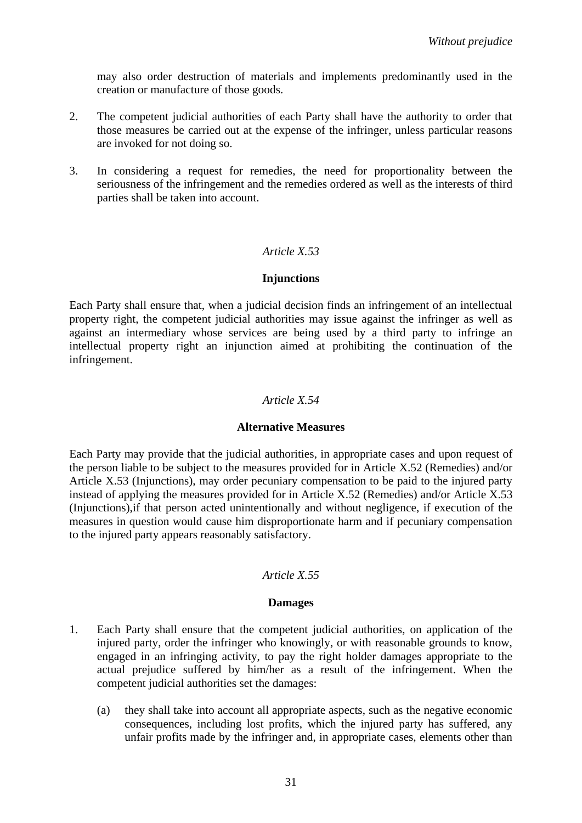may also order destruction of materials and implements predominantly used in the creation or manufacture of those goods.

- 2. The competent judicial authorities of each Party shall have the authority to order that those measures be carried out at the expense of the infringer, unless particular reasons are invoked for not doing so.
- 3. In considering a request for remedies, the need for proportionality between the seriousness of the infringement and the remedies ordered as well as the interests of third parties shall be taken into account.

# *Article X.53*

### **Injunctions**

Each Party shall ensure that, when a judicial decision finds an infringement of an intellectual property right, the competent judicial authorities may issue against the infringer as well as against an intermediary whose services are being used by a third party to infringe an intellectual property right an injunction aimed at prohibiting the continuation of the infringement.

## *Article X.54*

### **Alternative Measures**

Each Party may provide that the judicial authorities, in appropriate cases and upon request of the person liable to be subject to the measures provided for in Article X.52 (Remedies) and/or Article X.53 (Injunctions), may order pecuniary compensation to be paid to the injured party instead of applying the measures provided for in Article X.52 (Remedies) and/or Article X.53 (Injunctions),if that person acted unintentionally and without negligence, if execution of the measures in question would cause him disproportionate harm and if pecuniary compensation to the injured party appears reasonably satisfactory.

### *Article X.55*

### **Damages**

- 1. Each Party shall ensure that the competent judicial authorities, on application of the injured party, order the infringer who knowingly, or with reasonable grounds to know, engaged in an infringing activity, to pay the right holder damages appropriate to the actual prejudice suffered by him/her as a result of the infringement. When the competent judicial authorities set the damages:
	- (a) they shall take into account all appropriate aspects, such as the negative economic consequences, including lost profits, which the injured party has suffered, any unfair profits made by the infringer and, in appropriate cases, elements other than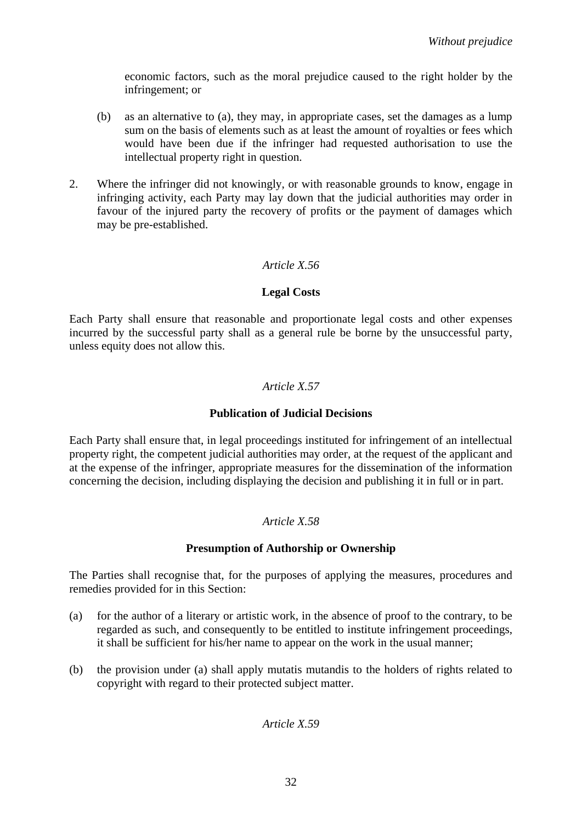economic factors, such as the moral prejudice caused to the right holder by the infringement; or

- (b) as an alternative to (a), they may, in appropriate cases, set the damages as a lump sum on the basis of elements such as at least the amount of royalties or fees which would have been due if the infringer had requested authorisation to use the intellectual property right in question.
- 2. Where the infringer did not knowingly, or with reasonable grounds to know, engage in infringing activity, each Party may lay down that the judicial authorities may order in favour of the injured party the recovery of profits or the payment of damages which may be pre-established.

## *Article X.56*

### **Legal Costs**

Each Party shall ensure that reasonable and proportionate legal costs and other expenses incurred by the successful party shall as a general rule be borne by the unsuccessful party, unless equity does not allow this.

# *Article X.57*

## **Publication of Judicial Decisions**

Each Party shall ensure that, in legal proceedings instituted for infringement of an intellectual property right, the competent judicial authorities may order, at the request of the applicant and at the expense of the infringer, appropriate measures for the dissemination of the information concerning the decision, including displaying the decision and publishing it in full or in part.

## *Article X.58*

## **Presumption of Authorship or Ownership**

The Parties shall recognise that, for the purposes of applying the measures, procedures and remedies provided for in this Section:

- (a) for the author of a literary or artistic work, in the absence of proof to the contrary, to be regarded as such, and consequently to be entitled to institute infringement proceedings, it shall be sufficient for his/her name to appear on the work in the usual manner;
- (b) the provision under (a) shall apply mutatis mutandis to the holders of rights related to copyright with regard to their protected subject matter.

*Article X.59*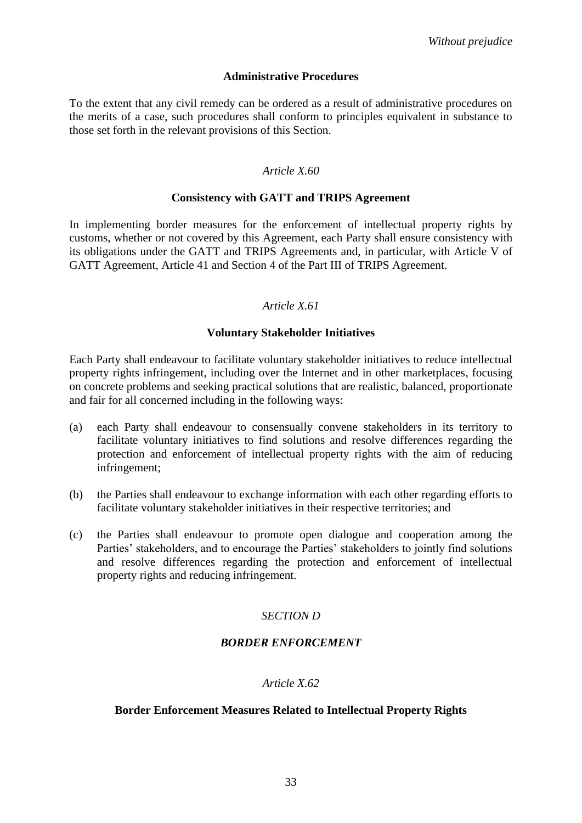### **Administrative Procedures**

To the extent that any civil remedy can be ordered as a result of administrative procedures on the merits of a case, such procedures shall conform to principles equivalent in substance to those set forth in the relevant provisions of this Section.

### *Article X.60*

### **Consistency with GATT and TRIPS Agreement**

In implementing border measures for the enforcement of intellectual property rights by customs, whether or not covered by this Agreement, each Party shall ensure consistency with its obligations under the GATT and TRIPS Agreements and, in particular, with Article V of GATT Agreement, Article 41 and Section 4 of the Part III of TRIPS Agreement.

## *Article X.61*

### **Voluntary Stakeholder Initiatives**

Each Party shall endeavour to facilitate voluntary stakeholder initiatives to reduce intellectual property rights infringement, including over the Internet and in other marketplaces, focusing on concrete problems and seeking practical solutions that are realistic, balanced, proportionate and fair for all concerned including in the following ways:

- (a) each Party shall endeavour to consensually convene stakeholders in its territory to facilitate voluntary initiatives to find solutions and resolve differences regarding the protection and enforcement of intellectual property rights with the aim of reducing infringement;
- (b) the Parties shall endeavour to exchange information with each other regarding efforts to facilitate voluntary stakeholder initiatives in their respective territories; and
- (c) the Parties shall endeavour to promote open dialogue and cooperation among the Parties' stakeholders, and to encourage the Parties' stakeholders to jointly find solutions and resolve differences regarding the protection and enforcement of intellectual property rights and reducing infringement.

## *SECTION D*

### *BORDER ENFORCEMENT*

## *Article X.62*

### **Border Enforcement Measures Related to Intellectual Property Rights**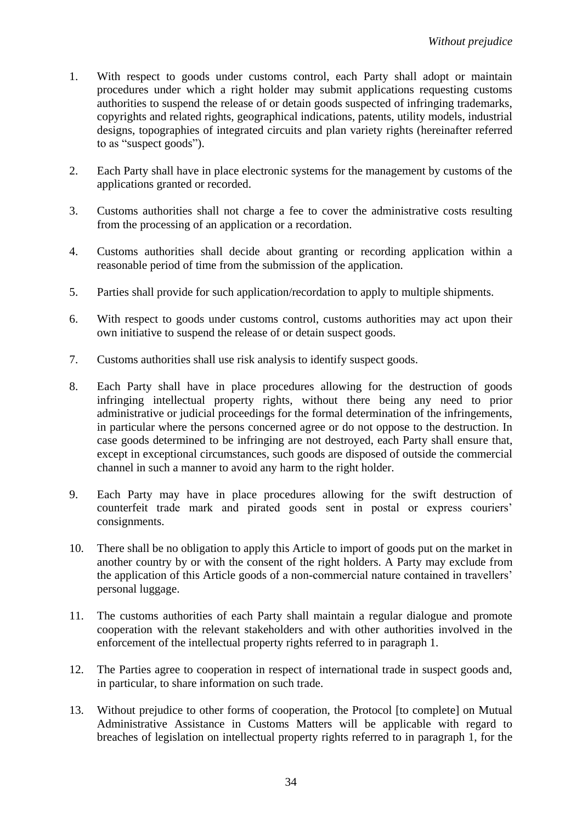- 1. With respect to goods under customs control, each Party shall adopt or maintain procedures under which a right holder may submit applications requesting customs authorities to suspend the release of or detain goods suspected of infringing trademarks, copyrights and related rights, geographical indications, patents, utility models, industrial designs, topographies of integrated circuits and plan variety rights (hereinafter referred to as "suspect goods").
- 2. Each Party shall have in place electronic systems for the management by customs of the applications granted or recorded.
- 3. Customs authorities shall not charge a fee to cover the administrative costs resulting from the processing of an application or a recordation.
- 4. Customs authorities shall decide about granting or recording application within a reasonable period of time from the submission of the application.
- 5. Parties shall provide for such application/recordation to apply to multiple shipments.
- 6. With respect to goods under customs control, customs authorities may act upon their own initiative to suspend the release of or detain suspect goods.
- 7. Customs authorities shall use risk analysis to identify suspect goods.
- 8. Each Party shall have in place procedures allowing for the destruction of goods infringing intellectual property rights, without there being any need to prior administrative or judicial proceedings for the formal determination of the infringements, in particular where the persons concerned agree or do not oppose to the destruction. In case goods determined to be infringing are not destroyed, each Party shall ensure that, except in exceptional circumstances, such goods are disposed of outside the commercial channel in such a manner to avoid any harm to the right holder.
- 9. Each Party may have in place procedures allowing for the swift destruction of counterfeit trade mark and pirated goods sent in postal or express couriers' consignments.
- 10. There shall be no obligation to apply this Article to import of goods put on the market in another country by or with the consent of the right holders. A Party may exclude from the application of this Article goods of a non-commercial nature contained in travellers' personal luggage.
- 11. The customs authorities of each Party shall maintain a regular dialogue and promote cooperation with the relevant stakeholders and with other authorities involved in the enforcement of the intellectual property rights referred to in paragraph 1.
- 12. The Parties agree to cooperation in respect of international trade in suspect goods and, in particular, to share information on such trade.
- 13. Without prejudice to other forms of cooperation, the Protocol [to complete] on Mutual Administrative Assistance in Customs Matters will be applicable with regard to breaches of legislation on intellectual property rights referred to in paragraph 1, for the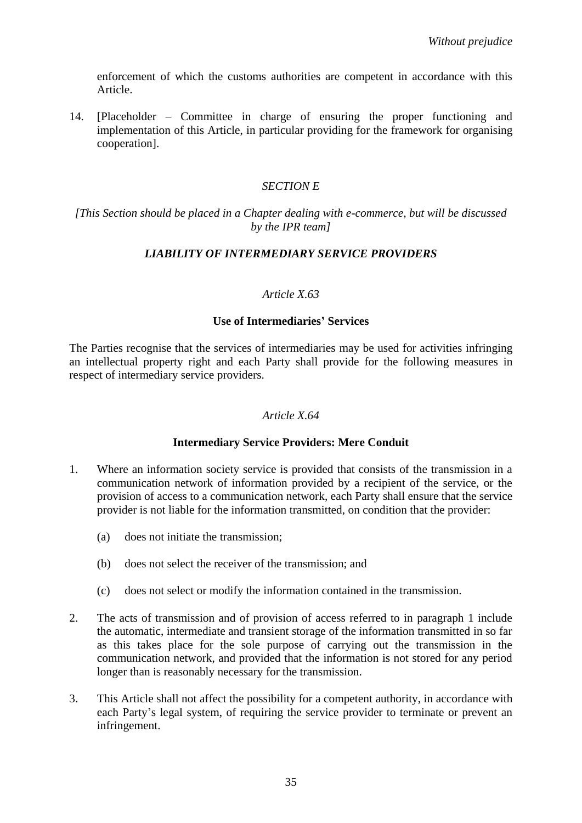enforcement of which the customs authorities are competent in accordance with this Article.

14. [Placeholder – Committee in charge of ensuring the proper functioning and implementation of this Article, in particular providing for the framework for organising cooperation].

### *SECTION E*

*[This Section should be placed in a Chapter dealing with e-commerce, but will be discussed by the IPR team]*

# *LIABILITY OF INTERMEDIARY SERVICE PROVIDERS*

### *Article X.63*

### **Use of Intermediaries' Services**

The Parties recognise that the services of intermediaries may be used for activities infringing an intellectual property right and each Party shall provide for the following measures in respect of intermediary service providers.

### *Article X.64*

## **Intermediary Service Providers: Mere Conduit**

- 1. Where an information society service is provided that consists of the transmission in a communication network of information provided by a recipient of the service, or the provision of access to a communication network, each Party shall ensure that the service provider is not liable for the information transmitted, on condition that the provider:
	- (a) does not initiate the transmission;
	- (b) does not select the receiver of the transmission; and
	- (c) does not select or modify the information contained in the transmission.
- 2. The acts of transmission and of provision of access referred to in paragraph 1 include the automatic, intermediate and transient storage of the information transmitted in so far as this takes place for the sole purpose of carrying out the transmission in the communication network, and provided that the information is not stored for any period longer than is reasonably necessary for the transmission.
- 3. This Article shall not affect the possibility for a competent authority, in accordance with each Party's legal system, of requiring the service provider to terminate or prevent an infringement.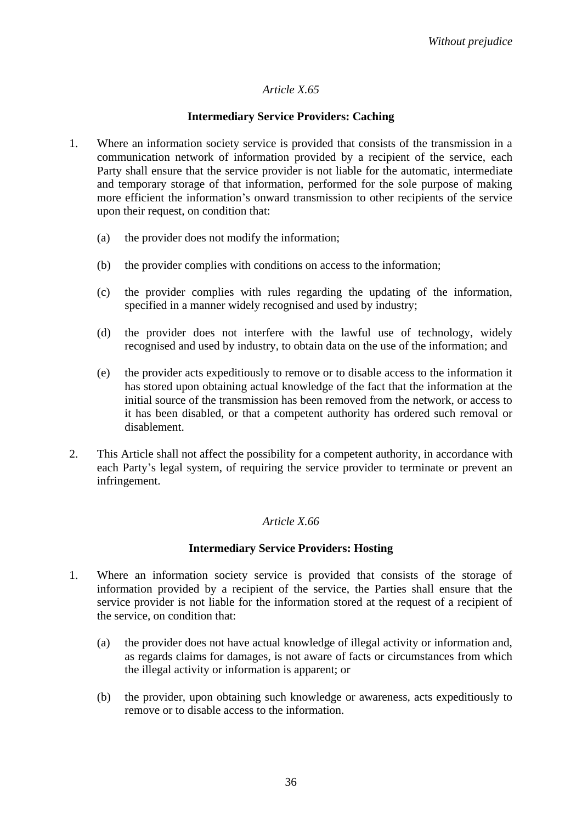## **Intermediary Service Providers: Caching**

- 1. Where an information society service is provided that consists of the transmission in a communication network of information provided by a recipient of the service, each Party shall ensure that the service provider is not liable for the automatic, intermediate and temporary storage of that information, performed for the sole purpose of making more efficient the information's onward transmission to other recipients of the service upon their request, on condition that:
	- (a) the provider does not modify the information;
	- (b) the provider complies with conditions on access to the information;
	- (c) the provider complies with rules regarding the updating of the information, specified in a manner widely recognised and used by industry;
	- (d) the provider does not interfere with the lawful use of technology, widely recognised and used by industry, to obtain data on the use of the information; and
	- (e) the provider acts expeditiously to remove or to disable access to the information it has stored upon obtaining actual knowledge of the fact that the information at the initial source of the transmission has been removed from the network, or access to it has been disabled, or that a competent authority has ordered such removal or disablement.
- 2. This Article shall not affect the possibility for a competent authority, in accordance with each Party's legal system, of requiring the service provider to terminate or prevent an infringement.

## *Article X.66*

### **Intermediary Service Providers: Hosting**

- 1. Where an information society service is provided that consists of the storage of information provided by a recipient of the service, the Parties shall ensure that the service provider is not liable for the information stored at the request of a recipient of the service, on condition that:
	- (a) the provider does not have actual knowledge of illegal activity or information and, as regards claims for damages, is not aware of facts or circumstances from which the illegal activity or information is apparent; or
	- (b) the provider, upon obtaining such knowledge or awareness, acts expeditiously to remove or to disable access to the information.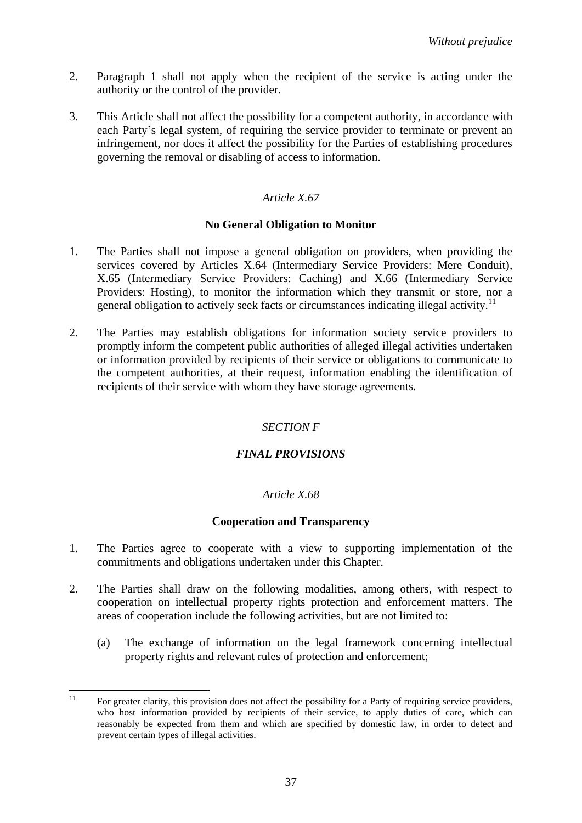- 2. Paragraph 1 shall not apply when the recipient of the service is acting under the authority or the control of the provider.
- 3. This Article shall not affect the possibility for a competent authority, in accordance with each Party's legal system, of requiring the service provider to terminate or prevent an infringement, nor does it affect the possibility for the Parties of establishing procedures governing the removal or disabling of access to information.

## **No General Obligation to Monitor**

- 1. The Parties shall not impose a general obligation on providers, when providing the services covered by Articles X.64 (Intermediary Service Providers: Mere Conduit), X.65 (Intermediary Service Providers: Caching) and X.66 (Intermediary Service Providers: Hosting), to monitor the information which they transmit or store, nor a general obligation to actively seek facts or circumstances indicating illegal activity.<sup>11</sup>
- 2. The Parties may establish obligations for information society service providers to promptly inform the competent public authorities of alleged illegal activities undertaken or information provided by recipients of their service or obligations to communicate to the competent authorities, at their request, information enabling the identification of recipients of their service with whom they have storage agreements.

## *SECTION F*

## *FINAL PROVISIONS*

## *Article X.68*

### **Cooperation and Transparency**

- 1. The Parties agree to cooperate with a view to supporting implementation of the commitments and obligations undertaken under this Chapter.
- 2. The Parties shall draw on the following modalities, among others, with respect to cooperation on intellectual property rights protection and enforcement matters. The areas of cooperation include the following activities, but are not limited to:
	- (a) The exchange of information on the legal framework concerning intellectual property rights and relevant rules of protection and enforcement;

 $11<sup>2</sup>$ <sup>11</sup> For greater clarity, this provision does not affect the possibility for a Party of requiring service providers, who host information provided by recipients of their service, to apply duties of care, which can reasonably be expected from them and which are specified by domestic law, in order to detect and prevent certain types of illegal activities.